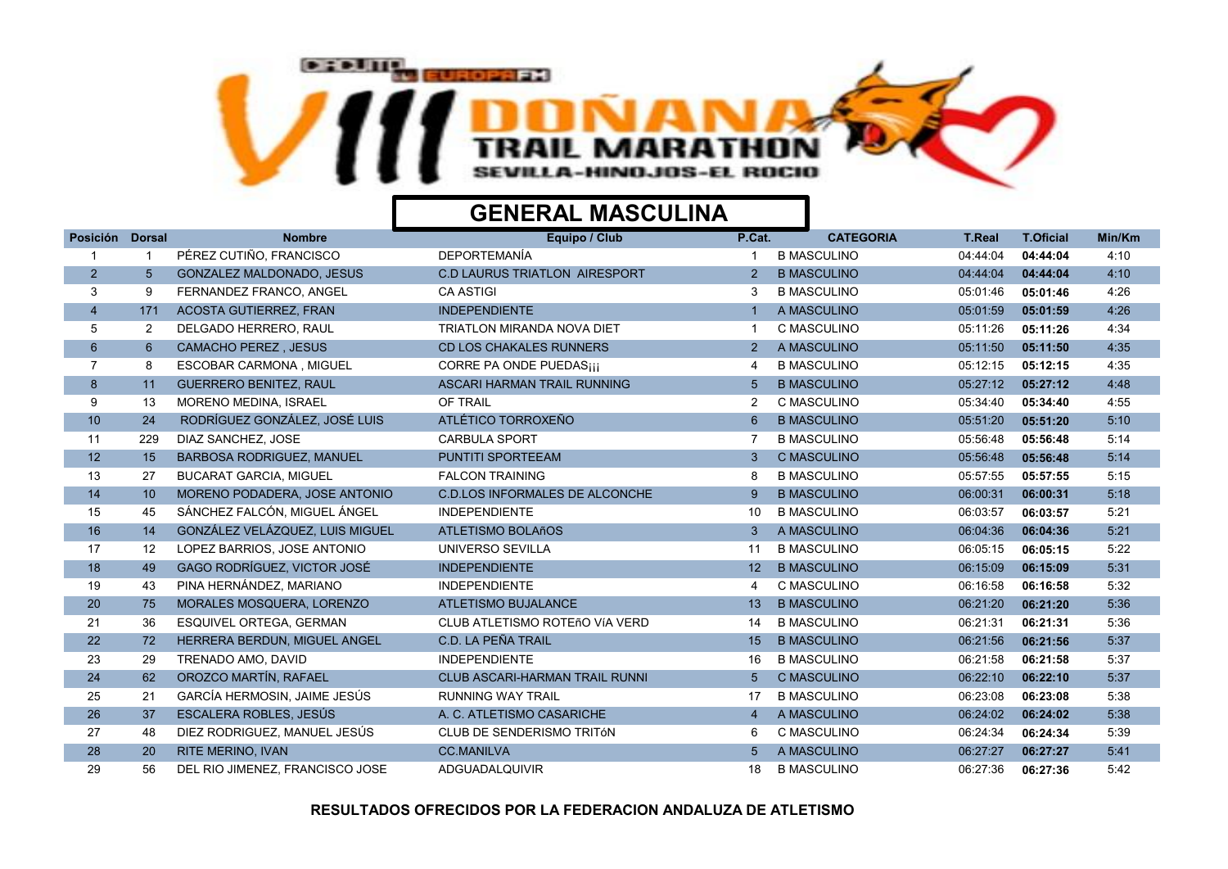

| Posición        | <b>Dorsal</b>  | <b>Nombre</b>                    | Equipo / Club                         | P.Cat.          | <b>CATEGORIA</b>   | <b>T.Real</b> | <b>T.Oficial</b> | Min/Km |
|-----------------|----------------|----------------------------------|---------------------------------------|-----------------|--------------------|---------------|------------------|--------|
|                 |                | PÉREZ CUTIÑO, FRANCISCO          | <b>DEPORTEMANÍA</b>                   |                 | <b>B MASCULINO</b> | 04:44:04      | 04:44:04         | 4:10   |
| $\overline{2}$  | 5 <sup>5</sup> | <b>GONZALEZ MALDONADO, JESUS</b> | <b>C.D LAURUS TRIATLON AIRESPORT</b>  | $\overline{2}$  | <b>B MASCULINO</b> | 04:44:04      | 04:44:04         | 4:10   |
| 3               | 9              | FERNANDEZ FRANCO, ANGEL          | <b>CA ASTIGI</b>                      | 3               | <b>B MASCULINO</b> | 05:01:46      | 05:01:46         | 4:26   |
| $\overline{4}$  | 171            | <b>ACOSTA GUTIERREZ, FRAN</b>    | <b>INDEPENDIENTE</b>                  |                 | A MASCULINO        | 05:01:59      | 05:01:59         | 4:26   |
| 5               | $\overline{2}$ | DELGADO HERRERO, RAUL            | <b>TRIATLON MIRANDA NOVA DIET</b>     |                 | C MASCULINO        | 05:11:26      | 05:11:26         | 4:34   |
| $6\overline{6}$ | $6^{\circ}$    | <b>CAMACHO PEREZ, JESUS</b>      | <b>CD LOS CHAKALES RUNNERS</b>        | $\overline{2}$  | A MASCULINO        | 05:11:50      | 05:11:50         | 4:35   |
| $\overline{7}$  | 8              | ESCOBAR CARMONA, MIGUEL          | <b>CORRE PA ONDE PUEDASiji</b>        | 4               | <b>B MASCULINO</b> | 05:12:15      | 05:12:15         | 4:35   |
| 8 <sup>°</sup>  | 11             | <b>GUERRERO BENITEZ, RAUL</b>    | ASCARI HARMAN TRAIL RUNNING           | 5               | <b>B MASCULINO</b> | 05:27:12      | 05:27:12         | 4:48   |
| 9               | 13             | MORENO MEDINA, ISRAEL            | OF TRAIL                              | $\overline{2}$  | C MASCULINO        | 05:34:40      | 05:34:40         | 4:55   |
| 10              | 24             | RODRÍGUEZ GONZÁLEZ, JOSÉ LUIS    | ATLÉTICO TORROXEÑO                    | 6               | <b>B MASCULINO</b> | 05:51:20      | 05:51:20         | 5:10   |
| 11              | 229            | DIAZ SANCHEZ. JOSE               | <b>CARBULA SPORT</b>                  |                 | <b>B MASCULINO</b> | 05:56:48      | 05:56:48         | 5:14   |
| 12              | 15             | <b>BARBOSA RODRIGUEZ, MANUEL</b> | <b>PUNTITI SPORTEEAM</b>              | 3               | <b>C MASCULINO</b> | 05:56:48      | 05:56:48         | 5:14   |
| 13              | 27             | <b>BUCARAT GARCIA, MIGUEL</b>    | <b>FALCON TRAINING</b>                | 8               | <b>B MASCULINO</b> | 05:57:55      | 05:57:55         | 5:15   |
| 14              | 10             | MORENO PODADERA, JOSE ANTONIO    | <b>C.D.LOS INFORMALES DE ALCONCHE</b> | 9               | <b>B MASCULINO</b> | 06:00:31      | 06:00:31         | 5:18   |
| 15              | 45             | SÁNCHEZ FALCÓN, MIGUEL ÁNGEL     | <b>INDEPENDIENTE</b>                  | 10              | <b>B MASCULINO</b> | 06:03:57      | 06:03:57         | 5:21   |
| 16              | 14             | GONZÁLEZ VELÁZQUEZ. LUIS MIGUEL  | <b>ATLETISMO BOLAñOS</b>              | 3               | A MASCULINO        | 06:04:36      | 06:04:36         | 5:21   |
| 17              | 12             | LOPEZ BARRIOS, JOSE ANTONIO      | UNIVERSO SEVILLA                      | 11              | <b>B MASCULINO</b> | 06:05:15      | 06:05:15         | 5:22   |
| 18              | 49             | GAGO RODRÍGUEZ, VICTOR JOSÉ      | <b>INDEPENDIENTE</b>                  | 12 <sup>2</sup> | <b>B MASCULINO</b> | 06:15:09      | 06:15:09         | 5:31   |
| 19              | 43             | PINA HERNÁNDEZ, MARIANO          | <b>INDEPENDIENTE</b>                  | 4               | C MASCULINO        | 06:16:58      | 06:16:58         | 5:32   |
| 20              | 75             | MORALES MOSQUERA, LORENZO        | ATLETISMO BUJALANCE                   | 13              | <b>B MASCULINO</b> | 06:21:20      | 06:21:20         | 5:36   |
| 21              | 36             | ESQUIVEL ORTEGA, GERMAN          | CLUB ATLETISMO ROTEñO VÍA VERD        | 14              | <b>B MASCULINO</b> | 06:21:31      | 06:21:31         | 5:36   |
| 22              | 72             | HERRERA BERDUN, MIGUEL ANGEL     | C.D. LA PEÑA TRAIL                    | 15              | <b>B MASCULINO</b> | 06:21:56      | 06:21:56         | 5:37   |
| 23              | 29             | TRENADO AMO, DAVID               | <b>INDEPENDIENTE</b>                  | 16              | <b>B MASCULINO</b> | 06:21:58      | 06:21:58         | 5:37   |
| 24              | 62             | OROZCO MARTÍN, RAFAEL            | CLUB ASCARI-HARMAN TRAIL RUNNI        | 5               | <b>C MASCULINO</b> | 06:22:10      | 06:22:10         | 5:37   |
| 25              | 21             | GARCÍA HERMOSIN, JAIME JESÚS     | <b>RUNNING WAY TRAIL</b>              | 17              | <b>B MASCULINO</b> | 06:23:08      | 06:23:08         | 5:38   |
| 26              | 37             | ESCALERA ROBLES, JESÚS           | A. C. ATLETISMO CASARICHE             | $\overline{4}$  | A MASCULINO        | 06:24:02      | 06:24:02         | 5:38   |
| 27              | 48             | DIEZ RODRIGUEZ, MANUEL JESÚS     | CLUB DE SENDERISMO TRITÓN             | 6               | C MASCULINO        | 06:24:34      | 06:24:34         | 5:39   |
| 28              | 20             | <b>RITE MERINO, IVAN</b>         | <b>CC.MANILVA</b>                     | 5 <sup>1</sup>  | A MASCULINO        | 06:27:27      | 06:27:27         | 5:41   |
| 29              | 56             | DEL RIO JIMENEZ, FRANCISCO JOSE  | <b>ADGUADALQUIVIR</b>                 | 18              | <b>B MASCULINO</b> | 06:27:36      | 06:27:36         | 5:42   |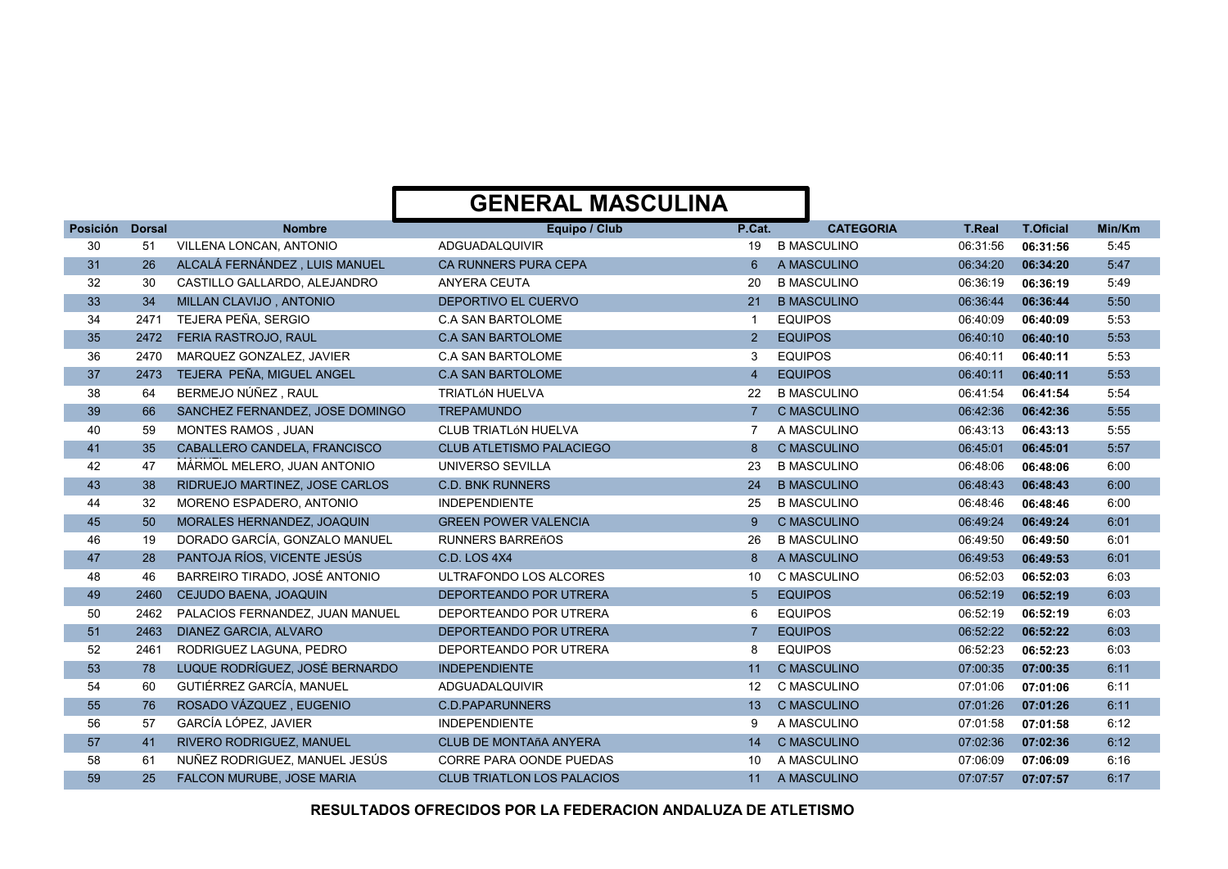| Posición | <b>Dorsal</b> | <b>Nombre</b>                   | Equipo / Club                     | P.Cat.          | <b>CATEGORIA</b>   | <b>T.Real</b> | <b>T.Oficial</b> | Min/Km |
|----------|---------------|---------------------------------|-----------------------------------|-----------------|--------------------|---------------|------------------|--------|
| 30       | 51            | VILLENA LONCAN, ANTONIO         | ADGUADALQUIVIR                    | 19              | <b>B MASCULINO</b> | 06:31:56      | 06:31:56         | 5:45   |
| 31       | 26            | ALCALÁ FERNÁNDEZ, LUIS MANUEL   | <b>CA RUNNERS PURA CEPA</b>       | 6               | A MASCULINO        | 06:34:20      | 06:34:20         | 5:47   |
| 32       | 30            | CASTILLO GALLARDO, ALEJANDRO    | ANYERA CEUTA                      | 20              | <b>B MASCULINO</b> | 06:36:19      | 06:36:19         | 5:49   |
| 33       | 34            | MILLAN CLAVIJO, ANTONIO         | DEPORTIVO EL CUERVO               | 21              | <b>B MASCULINO</b> | 06:36:44      | 06:36:44         | 5:50   |
| 34       | 2471          | TEJERA PEÑA, SERGIO             | <b>C.A SAN BARTOLOME</b>          | $\mathbf{1}$    | <b>EQUIPOS</b>     | 06:40:09      | 06:40:09         | 5:53   |
| 35       | 2472          | <b>FERIA RASTROJO, RAUL</b>     | <b>C.A SAN BARTOLOME</b>          | $\overline{2}$  | <b>EQUIPOS</b>     | 06:40:10      | 06:40:10         | 5:53   |
| 36       | 2470          | MARQUEZ GONZALEZ, JAVIER        | <b>C.A SAN BARTOLOME</b>          | 3               | <b>EQUIPOS</b>     | 06:40:11      | 06:40:11         | 5:53   |
| 37       | 2473          | TEJERA PEÑA, MIGUEL ANGEL       | <b>C.A SAN BARTOLOME</b>          | $\overline{4}$  | <b>EQUIPOS</b>     | 06:40:11      | 06:40:11         | 5:53   |
| 38       | 64            | BERMEJO NÚÑEZ, RAUL             | <b>TRIATLÓN HUELVA</b>            | 22              | <b>B MASCULINO</b> | 06:41:54      | 06:41:54         | 5:54   |
| 39       | 66            | SANCHEZ FERNANDEZ, JOSE DOMINGO | <b>TREPAMUNDO</b>                 | $\overline{7}$  | <b>C MASCULINO</b> | 06:42:36      | 06:42:36         | 5:55   |
| 40       | 59            | MONTES RAMOS, JUAN              | <b>CLUB TRIATLÓN HUELVA</b>       | 7               | A MASCULINO        | 06:43:13      | 06:43:13         | 5:55   |
| 41       | 35            | CABALLERO CANDELA, FRANCISCO    | <b>CLUB ATLETISMO PALACIEGO</b>   | 8               | <b>C MASCULINO</b> | 06:45:01      | 06:45:01         | 5:57   |
| 42       | 47            | MÁRMOL MELERO. JUAN ANTONIO     | UNIVERSO SEVILLA                  | 23              | <b>B MASCULINO</b> | 06:48:06      | 06:48:06         | 6:00   |
| 43       | 38            | RIDRUEJO MARTINEZ, JOSE CARLOS  | <b>C.D. BNK RUNNERS</b>           | 24              | <b>B MASCULINO</b> | 06:48:43      | 06:48:43         | 6:00   |
| 44       | 32            | MORENO ESPADERO, ANTONIO        | <b>INDEPENDIENTE</b>              | 25              | <b>B MASCULINO</b> | 06:48:46      | 06:48:46         | 6:00   |
| 45       | 50            | MORALES HERNANDEZ, JOAQUIN      | <b>GREEN POWER VALENCIA</b>       | 9               | C MASCULINO        | 06:49:24      | 06:49:24         | 6:01   |
| 46       | 19            | DORADO GARCÍA, GONZALO MANUEL   | <b>RUNNERS BARREñOS</b>           | 26              | <b>B MASCULINO</b> | 06:49:50      | 06:49:50         | 6:01   |
| 47       | 28            | PANTOJA RÍOS, VICENTE JESÚS     | <b>C.D. LOS 4X4</b>               | 8               | A MASCULINO        | 06:49:53      | 06:49:53         | 6:01   |
| 48       | 46            | BARREIRO TIRADO, JOSÉ ANTONIO   | ULTRAFONDO LOS ALCORES            | 10              | C MASCULINO        | 06:52:03      | 06:52:03         | 6:03   |
| 49       | 2460          | CEJUDO BAENA, JOAQUIN           | DEPORTEANDO POR UTRERA            | 5               | <b>EQUIPOS</b>     | 06:52:19      | 06:52:19         | 6:03   |
| 50       | 2462          | PALACIOS FERNANDEZ, JUAN MANUEL | DEPORTEANDO POR UTRERA            | 6               | <b>EQUIPOS</b>     | 06:52:19      | 06:52:19         | 6:03   |
| 51       | 2463          | DIANEZ GARCIA, ALVARO           | DEPORTEANDO POR UTRERA            | $\overline{7}$  | <b>EQUIPOS</b>     | 06:52:22      | 06:52:22         | 6:03   |
| 52       | 2461          | RODRIGUEZ LAGUNA, PEDRO         | DEPORTEANDO POR UTRERA            | 8               | <b>EQUIPOS</b>     | 06:52:23      | 06:52:23         | 6:03   |
| 53       | 78            | LUQUE RODRÍGUEZ, JOSÉ BERNARDO  | <b>INDEPENDIENTE</b>              | 11              | <b>C MASCULINO</b> | 07:00:35      | 07:00:35         | 6:11   |
| 54       | 60            | GUTIÉRREZ GARCÍA, MANUEL        | ADGUADALQUIVIR                    | 12 <sup>2</sup> | C MASCULINO        | 07:01:06      | 07:01:06         | 6:11   |
| 55       | 76            | ROSADO VÁZQUEZ, EUGENIO         | <b>C.D.PAPARUNNERS</b>            | 13              | C MASCULINO        | 07:01:26      | 07:01:26         | 6:11   |
| 56       | 57            | GARCÍA LÓPEZ, JAVIER            | <b>INDEPENDIENTE</b>              | 9               | A MASCULINO        | 07:01:58      | 07:01:58         | 6:12   |
| 57       | 41            | RIVERO RODRIGUEZ, MANUEL        | CLUB DE MONTAñA ANYERA            | 14              | <b>C MASCULINO</b> | 07:02:36      | 07:02:36         | 6:12   |
| 58       | 61            | NUÑEZ RODRIGUEZ, MANUEL JESÚS   | <b>CORRE PARA OONDE PUEDAS</b>    | 10              | A MASCULINO        | 07:06:09      | 07:06:09         | 6:16   |
| 59       | 25            | FALCON MURUBE, JOSE MARIA       | <b>CLUB TRIATLON LOS PALACIOS</b> | 11              | A MASCULINO        | 07:07:57      | 07:07:57         | 6:17   |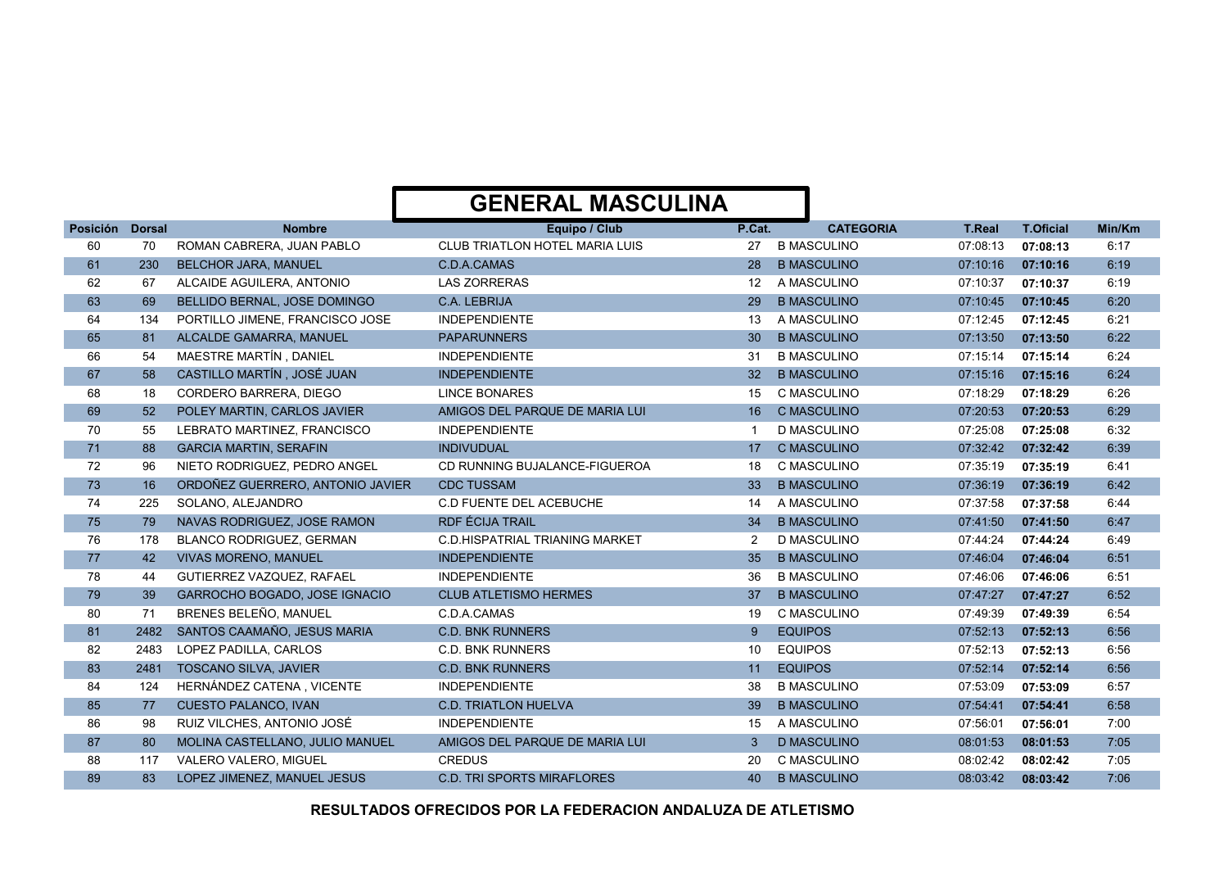|          |               |                                  | <b>GENERAL MASCULINA</b>              |                  |                    |               |                  |        |
|----------|---------------|----------------------------------|---------------------------------------|------------------|--------------------|---------------|------------------|--------|
| Posición | <b>Dorsal</b> | <b>Nombre</b>                    | Equipo / Club                         | P.Cat.           | <b>CATEGORIA</b>   | <b>T.Real</b> | <b>T.Oficial</b> | Min/Km |
| 60       | 70            | ROMAN CABRERA, JUAN PABLO        | <b>CLUB TRIATLON HOTEL MARIA LUIS</b> | 27               | <b>B MASCULINO</b> | 07:08:13      | 07:08:13         | 6:17   |
| 61       | 230           | <b>BELCHOR JARA, MANUEL</b>      | C.D.A.CAMAS                           | 28               | <b>B MASCULINO</b> | 07:10:16      | 07:10:16         | 6:19   |
| 62       | 67            | ALCAIDE AGUILERA, ANTONIO        | <b>LAS ZORRERAS</b>                   | 12 <sup>12</sup> | A MASCULINO        | 07:10:37      | 07:10:37         | 6:19   |
| 63       | 69            | BELLIDO BERNAL, JOSE DOMINGO     | C.A. LEBRIJA                          | 29               | <b>B MASCULINO</b> | 07:10:45      | 07:10:45         | 6:20   |
| 64       | 134           | PORTILLO JIMENE, FRANCISCO JOSE  | <b>INDEPENDIENTE</b>                  | 13               | A MASCULINO        | 07:12:45      | 07:12:45         | 6:21   |
| 65       | 81            | ALCALDE GAMARRA, MANUEL          | <b>PAPARUNNERS</b>                    | 30 <sup>°</sup>  | <b>B MASCULINO</b> | 07:13:50      | 07:13:50         | 6:22   |
| 66       | 54            | MAESTRE MARTÍN, DANIEL           | <b>INDEPENDIENTE</b>                  | 31               | <b>B MASCULINO</b> | 07:15:14      | 07:15:14         | 6:24   |
| 67       | 58            | CASTILLO MARTÍN, JOSÉ JUAN       | <b>INDEPENDIENTE</b>                  | 32 <sup>2</sup>  | <b>B MASCULINO</b> | 07:15:16      | 07:15:16         | 6:24   |
| 68       | 18            | CORDERO BARRERA, DIEGO           | <b>LINCE BONARES</b>                  | 15               | C MASCULINO        | 07:18:29      | 07:18:29         | 6:26   |
| 69       | 52            | POLEY MARTIN, CARLOS JAVIER      | AMIGOS DEL PARQUE DE MARIA LUI        | 16               | <b>C MASCULINO</b> | 07:20:53      | 07:20:53         | 6:29   |
| 70       | 55            | LEBRATO MARTINEZ, FRANCISCO      | <b>INDEPENDIENTE</b>                  |                  | <b>D MASCULINO</b> | 07:25:08      | 07:25:08         | 6:32   |
| 71       | 88            | <b>GARCIA MARTIN, SERAFIN</b>    | <b>INDIVUDUAL</b>                     | 17 <sup>2</sup>  | <b>C MASCULINO</b> | 07:32:42      | 07:32:42         | 6:39   |
| 72       | 96            | NIETO RODRIGUEZ. PEDRO ANGEL     | CD RUNNING BUJALANCE-FIGUEROA         | 18               | C MASCULINO        | 07:35:19      | 07:35:19         | 6:41   |
| 73       | 16            | ORDOÑEZ GUERRERO, ANTONIO JAVIER | <b>CDC TUSSAM</b>                     | 33               | <b>B MASCULINO</b> | 07:36:19      | 07:36:19         | 6:42   |
| 74       | 225           | SOLANO, ALEJANDRO                | <b>C.D FUENTE DEL ACEBUCHE</b>        | 14               | A MASCULINO        | 07:37:58      | 07:37:58         | 6:44   |
| 75       | 79            | NAVAS RODRIGUEZ, JOSE RAMON      | <b>RDF ÉCIJA TRAIL</b>                | 34               | <b>B MASCULINO</b> | 07:41:50      | 07:41:50         | 6:47   |
| 76       | 178           | BLANCO RODRIGUEZ, GERMAN         | <b>C.D.HISPATRIAL TRIANING MARKET</b> | $\overline{2}$   | <b>D MASCULINO</b> | 07:44:24      | 07:44:24         | 6:49   |
| 77       | 42            | <b>VIVAS MORENO, MANUEL</b>      | <b>INDEPENDIENTE</b>                  | 35               | <b>B MASCULINO</b> | 07:46:04      | 07:46:04         | 6:51   |
| 78       | 44            | GUTIERREZ VAZQUEZ, RAFAEL        | <b>INDEPENDIENTE</b>                  | 36               | <b>B MASCULINO</b> | 07:46:06      | 07:46:06         | 6:51   |
| 79       | 39            | GARROCHO BOGADO, JOSE IGNACIO    | <b>CLUB ATLETISMO HERMES</b>          | 37               | <b>B MASCULINO</b> | 07:47:27      | 07:47:27         | 6:52   |
| 80       | 71            | BRENES BELEÑO, MANUEL            | C.D.A.CAMAS                           | 19               | C MASCULINO        | 07:49:39      | 07:49:39         | 6:54   |
| 81       | 2482          | SANTOS CAAMAÑO, JESUS MARIA      | <b>C.D. BNK RUNNERS</b>               | 9                | <b>EQUIPOS</b>     | 07:52:13      | 07:52:13         | 6:56   |
| 82       | 2483          | LOPEZ PADILLA, CARLOS            | <b>C.D. BNK RUNNERS</b>               | 10               | <b>EQUIPOS</b>     | 07:52:13      | 07:52:13         | 6:56   |
| 83       | 2481          | <b>TOSCANO SILVA, JAVIER</b>     | <b>C.D. BNK RUNNERS</b>               | 11               | <b>EQUIPOS</b>     | 07:52:14      | 07:52:14         | 6:56   |
| 84       | 124           | HERNÁNDEZ CATENA, VICENTE        | <b>INDEPENDIENTE</b>                  | 38               | <b>B MASCULINO</b> | 07:53:09      | 07:53:09         | 6:57   |
| 85       | 77            | <b>CUESTO PALANCO, IVAN</b>      | <b>C.D. TRIATLON HUELVA</b>           | 39               | <b>B MASCULINO</b> | 07:54:41      | 07:54:41         | 6:58   |
| 86       | 98            | RUIZ VILCHES, ANTONIO JOSÉ       | <b>INDEPENDIENTE</b>                  | 15               | A MASCULINO        | 07:56:01      | 07:56:01         | 7:00   |
| 87       | 80            | MOLINA CASTELLANO, JULIO MANUEL  | AMIGOS DEL PARQUE DE MARIA LUI        | 3 <sup>1</sup>   | <b>D MASCULINO</b> | 08:01:53      | 08:01:53         | 7:05   |
| 88       | 117           | VALERO VALERO, MIGUEL            | <b>CREDUS</b>                         | 20               | C MASCULINO        | 08:02:42      | 08:02:42         | 7:05   |
| 89       | 83            | LOPEZ JIMENEZ, MANUEL JESUS      | <b>C.D. TRI SPORTS MIRAFLORES</b>     | 40               | <b>B MASCULINO</b> | 08:03:42      | 08:03:42         | 7:06   |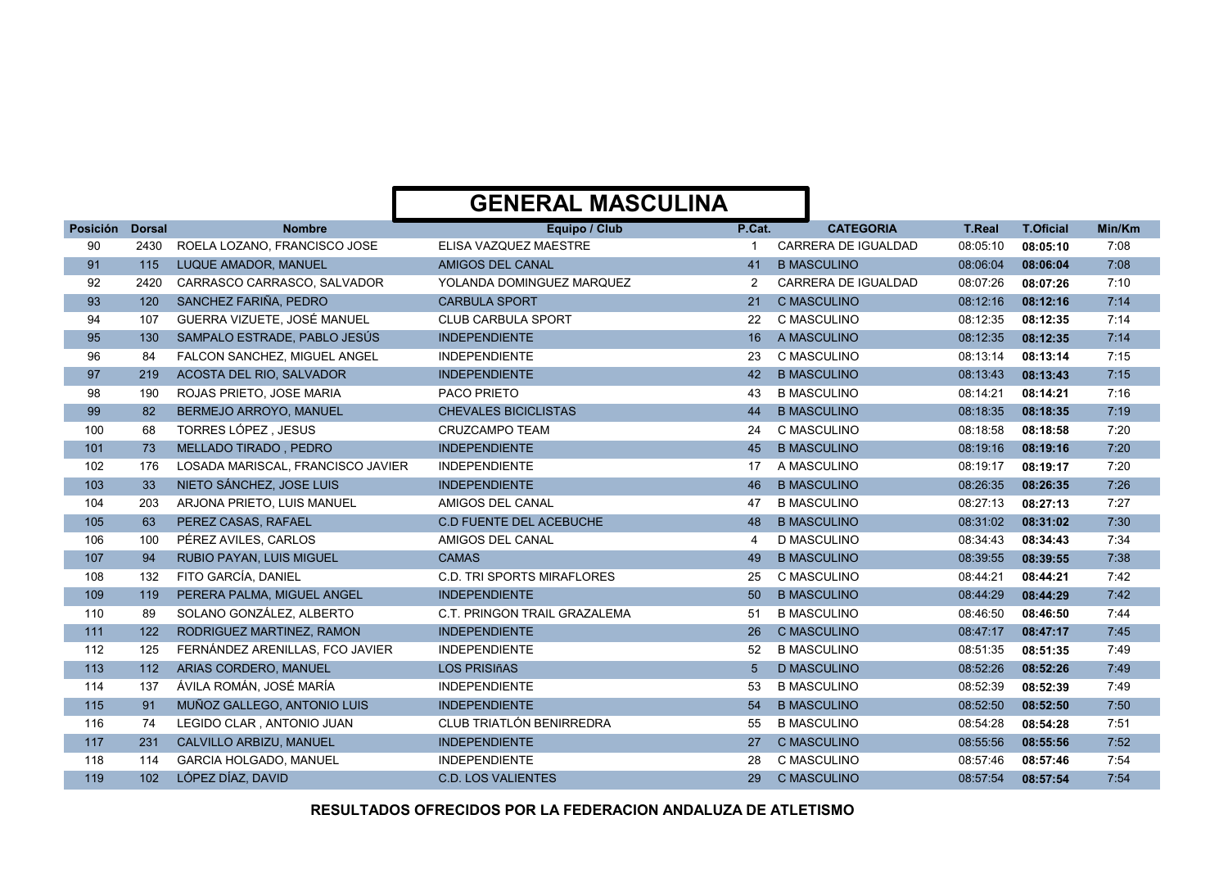| Posición | <b>Dorsal</b> | <b>Nombre</b>                     | Equipo / Club                     | P.Cat.         | <b>CATEGORIA</b>           | <b>T.Real</b> | <b>T.Oficial</b> | Min/Km |
|----------|---------------|-----------------------------------|-----------------------------------|----------------|----------------------------|---------------|------------------|--------|
| 90       | 2430          | ROELA LOZANO, FRANCISCO JOSE      | ELISA VAZQUEZ MAESTRE             |                | <b>CARRERA DE IGUALDAD</b> | 08:05:10      | 08:05:10         | 7:08   |
| 91       | 115           | LUQUE AMADOR, MANUEL              | AMIGOS DEL CANAL                  | 41             | <b>B MASCULINO</b>         | 08:06:04      | 08:06:04         | 7:08   |
| 92       | 2420          | CARRASCO CARRASCO, SALVADOR       | YOLANDA DOMINGUEZ MARQUEZ         | 2              | CARRERA DE IGUALDAD        | 08:07:26      | 08:07:26         | 7:10   |
| 93       | 120           | SANCHEZ FARIÑA, PEDRO             | <b>CARBULA SPORT</b>              | 21             | <b>C MASCULINO</b>         | 08:12:16      | 08:12:16         | 7:14   |
| 94       | 107           | GUERRA VIZUETE, JOSÉ MANUEL       | <b>CLUB CARBULA SPORT</b>         | 22             | C MASCULINO                | 08:12:35      | 08:12:35         | 7:14   |
| 95       | 130           | SAMPALO ESTRADE, PABLO JESÚS      | <b>INDEPENDIENTE</b>              | 16             | A MASCULINO                | 08:12:35      | 08:12:35         | 7:14   |
| 96       | 84            | FALCON SANCHEZ, MIGUEL ANGEL      | <b>INDEPENDIENTE</b>              | 23             | C MASCULINO                | 08:13:14      | 08:13:14         | 7:15   |
| 97       | 219           | ACOSTA DEL RIO, SALVADOR          | <b>INDEPENDIENTE</b>              | 42             | <b>B MASCULINO</b>         | 08:13:43      | 08:13:43         | 7:15   |
| 98       | 190           | ROJAS PRIETO, JOSE MARIA          | PACO PRIETO                       | 43             | <b>B MASCULINO</b>         | 08:14:21      | 08:14:21         | 7:16   |
| 99       | 82            | BERMEJO ARROYO, MANUEL            | <b>CHEVALES BICICLISTAS</b>       | 44             | <b>B MASCULINO</b>         | 08:18:35      | 08:18:35         | 7:19   |
| 100      | 68            | TORRES LÓPEZ, JESUS               | <b>CRUZCAMPO TEAM</b>             | 24             | C MASCULINO                | 08:18:58      | 08:18:58         | 7:20   |
| 101      | 73            | MELLADO TIRADO, PEDRO             | <b>INDEPENDIENTE</b>              | 45             | <b>B MASCULINO</b>         | 08:19:16      | 08:19:16         | 7:20   |
| 102      | 176           | LOSADA MARISCAL, FRANCISCO JAVIER | <b>INDEPENDIENTE</b>              | 17             | A MASCULINO                | 08:19:17      | 08:19:17         | 7:20   |
| 103      | 33            | NIETO SÁNCHEZ, JOSE LUIS          | <b>INDEPENDIENTE</b>              | 46             | <b>B MASCULINO</b>         | 08:26:35      | 08:26:35         | 7:26   |
| 104      | 203           | ARJONA PRIETO, LUIS MANUEL        | AMIGOS DEL CANAL                  | 47             | <b>B MASCULINO</b>         | 08:27:13      | 08:27:13         | 7:27   |
| 105      | 63            | PEREZ CASAS, RAFAEL               | <b>C.D FUENTE DEL ACEBUCHE</b>    | 48             | <b>B MASCULINO</b>         | 08:31:02      | 08:31:02         | 7:30   |
| 106      | 100           | PÉREZ AVILES, CARLOS              | AMIGOS DEL CANAL                  | 4              | <b>D MASCULINO</b>         | 08:34:43      | 08:34:43         | 7:34   |
| 107      | 94            | RUBIO PAYAN, LUIS MIGUEL          | <b>CAMAS</b>                      | 49             | <b>B MASCULINO</b>         | 08:39:55      | 08:39:55         | 7:38   |
| 108      | 132           | FITO GARCÍA, DANIEL               | <b>C.D. TRI SPORTS MIRAFLORES</b> | 25             | C MASCULINO                | 08:44:21      | 08:44:21         | 7:42   |
| 109      | 119           | PERERA PALMA, MIGUEL ANGEL        | <b>INDEPENDIENTE</b>              | 50             | <b>B MASCULINO</b>         | 08:44:29      | 08:44:29         | 7:42   |
| 110      | 89            | SOLANO GONZÁLEZ, ALBERTO          | C.T. PRINGON TRAIL GRAZALEMA      | 51             | <b>B MASCULINO</b>         | 08:46:50      | 08:46:50         | 7:44   |
| 111      | 122           | RODRIGUEZ MARTINEZ, RAMON         | <b>INDEPENDIENTE</b>              | 26             | <b>C MASCULINO</b>         | 08:47:17      | 08:47:17         | 7:45   |
| 112      | 125           | FERNÁNDEZ ARENILLAS, FCO JAVIER   | <b>INDEPENDIENTE</b>              | 52             | <b>B MASCULINO</b>         | 08:51:35      | 08:51:35         | 7:49   |
| 113      | 112           | ARIAS CORDERO, MANUEL             | <b>LOS PRISIñAS</b>               | 5 <sup>5</sup> | <b>D MASCULINO</b>         | 08:52:26      | 08:52:26         | 7:49   |
| 114      | 137           | ÁVILA ROMÁN, JOSÉ MARÍA           | <b>INDEPENDIENTE</b>              | 53             | <b>B MASCULINO</b>         | 08:52:39      | 08:52:39         | 7:49   |
| 115      | 91            | MUÑOZ GALLEGO, ANTONIO LUIS       | <b>INDEPENDIENTE</b>              | 54             | <b>B MASCULINO</b>         | 08:52:50      | 08:52:50         | 7:50   |
| 116      | 74            | LEGIDO CLAR, ANTONIO JUAN         | CLUB TRIATLÓN BENIRREDRA          | 55             | <b>B MASCULINO</b>         | 08:54:28      | 08:54:28         | 7:51   |
| 117      | 231           | CALVILLO ARBIZU, MANUEL           | <b>INDEPENDIENTE</b>              | 27             | <b>C MASCULINO</b>         | 08:55:56      | 08:55:56         | 7:52   |
| 118      | 114           | <b>GARCIA HOLGADO, MANUEL</b>     | <b>INDEPENDIENTE</b>              | 28             | C MASCULINO                | 08:57:46      | 08:57:46         | 7:54   |
| 119      | 102           | LÓPEZ DÍAZ, DAVID                 | <b>C.D. LOS VALIENTES</b>         | 29             | <b>C MASCULINO</b>         | 08:57:54      | 08:57:54         | 7:54   |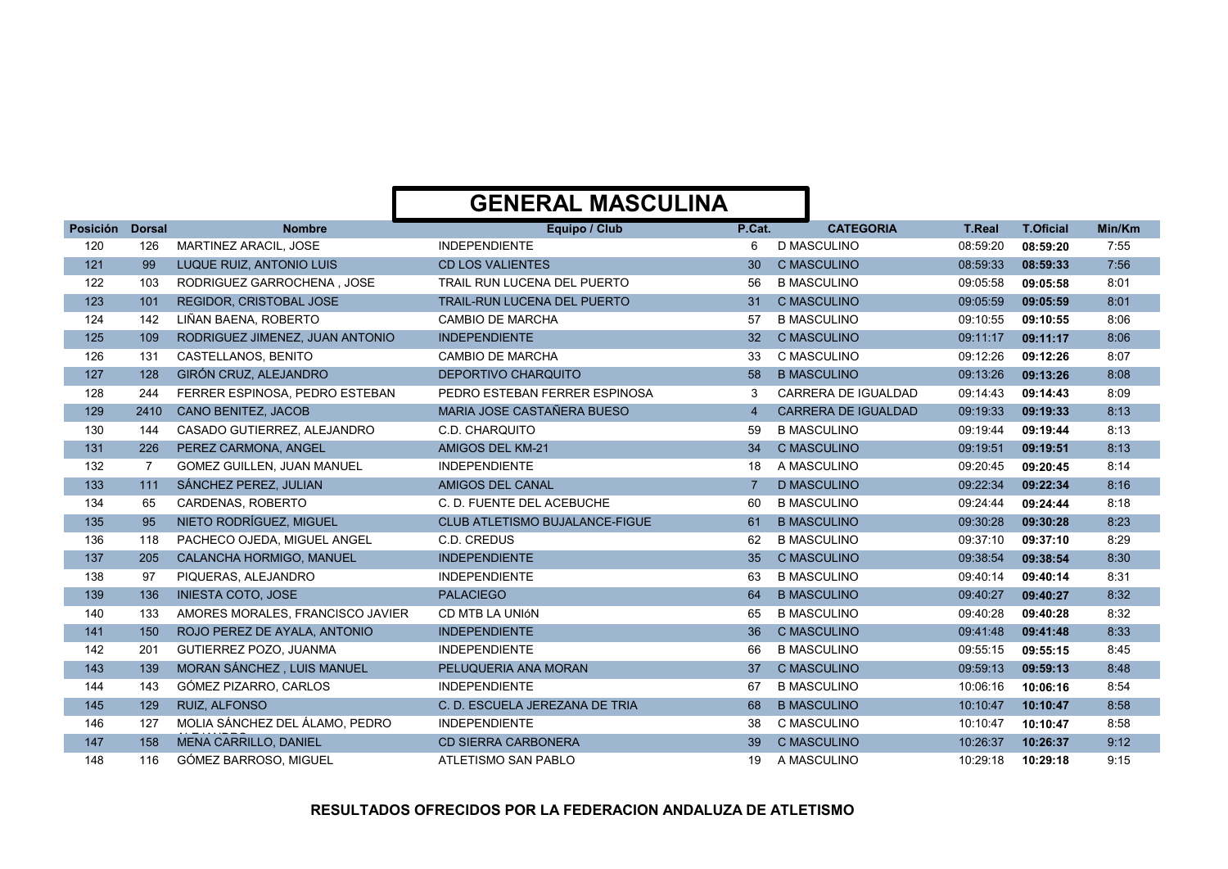| Posición | <b>Dorsal</b> | <b>Nombre</b>                     | Equipo / Club                  | P.Cat.          | <b>CATEGORIA</b>           | <b>T.Real</b> | <b>T.Oficial</b> | Min/Km |
|----------|---------------|-----------------------------------|--------------------------------|-----------------|----------------------------|---------------|------------------|--------|
| 120      | 126           | <b>MARTINEZ ARACIL, JOSE</b>      | <b>INDEPENDIENTE</b>           | 6               | <b>D MASCULINO</b>         | 08:59:20      | 08:59:20         | 7:55   |
| 121      | 99            | LUQUE RUIZ, ANTONIO LUIS          | <b>CD LOS VALIENTES</b>        | 30              | <b>C MASCULINO</b>         | 08:59:33      | 08:59:33         | 7:56   |
| 122      | 103           | RODRIGUEZ GARROCHENA, JOSE        | TRAIL RUN LUCENA DEL PUERTO    | 56              | <b>B MASCULINO</b>         | 09:05:58      | 09:05:58         | 8:01   |
| 123      | 101           | REGIDOR, CRISTOBAL JOSE           | TRAIL-RUN LUCENA DEL PUERTO    | 31              | <b>C MASCULINO</b>         | 09:05:59      | 09:05:59         | 8:01   |
| 124      | 142           | LIÑAN BAENA, ROBERTO              | <b>CAMBIO DE MARCHA</b>        | 57              | <b>B MASCULINO</b>         | 09:10:55      | 09:10:55         | 8:06   |
| 125      | 109           | RODRIGUEZ JIMENEZ, JUAN ANTONIO   | <b>INDEPENDIENTE</b>           | 32 <sup>2</sup> | <b>C MASCULINO</b>         | 09:11:17      | 09:11:17         | 8:06   |
| 126      | 131           | CASTELLANOS, BENITO               | <b>CAMBIO DE MARCHA</b>        | 33              | C MASCULINO                | 09:12:26      | 09:12:26         | 8:07   |
| 127      | 128           | GIRÓN CRUZ, ALEJANDRO             | <b>DEPORTIVO CHARQUITO</b>     | 58              | <b>B MASCULINO</b>         | 09:13:26      | 09:13:26         | 8:08   |
| 128      | 244           | FERRER ESPINOSA, PEDRO ESTEBAN    | PEDRO ESTEBAN FERRER ESPINOSA  | 3               | <b>CARRERA DE IGUALDAD</b> | 09:14:43      | 09:14:43         | 8:09   |
| 129      | 2410          | <b>CANO BENITEZ, JACOB</b>        | MARIA JOSE CASTAÑERA BUESO     | $\overline{4}$  | <b>CARRERA DE IGUALDAD</b> | 09:19:33      | 09:19:33         | 8:13   |
| 130      | 144           | CASADO GUTIERREZ, ALEJANDRO       | C.D. CHARQUITO                 | 59              | <b>B MASCULINO</b>         | 09:19:44      | 09:19:44         | 8:13   |
| 131      | 226           | PEREZ CARMONA, ANGEL              | AMIGOS DEL KM-21               | 34              | <b>C MASCULINO</b>         | 09:19:51      | 09:19:51         | 8:13   |
| 132      | 7             | <b>GOMEZ GUILLEN. JUAN MANUEL</b> | <b>INDEPENDIENTE</b>           | 18              | A MASCULINO                | 09:20:45      | 09:20:45         | 8:14   |
| 133      | 111           | SÁNCHEZ PEREZ, JULIAN             | AMIGOS DEL CANAL               |                 | <b>D MASCULINO</b>         | 09:22:34      | 09:22:34         | 8:16   |
| 134      | 65            | CARDENAS, ROBERTO                 | C. D. FUENTE DEL ACEBUCHE      | 60              | <b>B MASCULINO</b>         | 09:24:44      | 09:24:44         | 8:18   |
| 135      | 95            | NIETO RODRÍGUEZ, MIGUEL           | CLUB ATLETISMO BUJALANCE-FIGUE | 61              | <b>B MASCULINO</b>         | 09:30:28      | 09:30:28         | 8:23   |
| 136      | 118           | PACHECO OJEDA, MIGUEL ANGEL       | C.D. CREDUS                    | 62              | <b>B MASCULINO</b>         | 09:37:10      | 09:37:10         | 8:29   |
| 137      | 205           | CALANCHA HORMIGO, MANUEL          | <b>INDEPENDIENTE</b>           | 35              | <b>C MASCULINO</b>         | 09:38:54      | 09:38:54         | 8:30   |
| 138      | 97            | PIQUERAS, ALEJANDRO               | <b>INDEPENDIENTE</b>           | 63              | <b>B MASCULINO</b>         | 09:40:14      | 09:40:14         | 8:31   |
| 139      | 136           | <b>INIESTA COTO, JOSE</b>         | <b>PALACIEGO</b>               | 64              | <b>B MASCULINO</b>         | 09:40:27      | 09:40:27         | 8:32   |
| 140      | 133           | AMORES MORALES, FRANCISCO JAVIER  | CD MTB LA UNIÓN                | 65              | <b>B MASCULINO</b>         | 09:40:28      | 09:40:28         | 8:32   |
| 141      | 150           | ROJO PEREZ DE AYALA, ANTONIO      | <b>INDEPENDIENTE</b>           | 36              | <b>C MASCULINO</b>         | 09:41:48      | 09:41:48         | 8:33   |
| 142      | 201           | GUTIERREZ POZO, JUANMA            | <b>INDEPENDIENTE</b>           | 66              | <b>B MASCULINO</b>         | 09:55:15      | 09:55:15         | 8:45   |
| 143      | 139           | MORAN SÁNCHEZ, LUIS MANUEL        | PELUQUERIA ANA MORAN           | 37              | <b>C MASCULINO</b>         | 09:59:13      | 09:59:13         | 8:48   |
| 144      | 143           | GÓMEZ PIZARRO, CARLOS             | <b>INDEPENDIENTE</b>           | 67              | <b>B MASCULINO</b>         | 10:06:16      | 10:06:16         | 8:54   |
| 145      | 129           | <b>RUIZ. ALFONSO</b>              | C. D. ESCUELA JEREZANA DE TRIA | 68              | <b>B MASCULINO</b>         | 10:10:47      | 10:10:47         | 8:58   |
| 146      | 127           | MOLIA SÁNCHEZ DEL ÁLAMO. PEDRO    | <b>INDEPENDIENTE</b>           | 38              | C MASCULINO                | 10:10:47      | 10:10:47         | 8:58   |
| 147      | 158           | MENA CARRILLO, DANIEL             | <b>CD SIERRA CARBONERA</b>     | 39              | <b>C MASCULINO</b>         | 10:26:37      | 10:26:37         | 9:12   |
| 148      | 116           | GÓMEZ BARROSO, MIGUEL             | ATLETISMO SAN PABLO            | 19              | A MASCULINO                | 10:29:18      | 10:29:18         | 9:15   |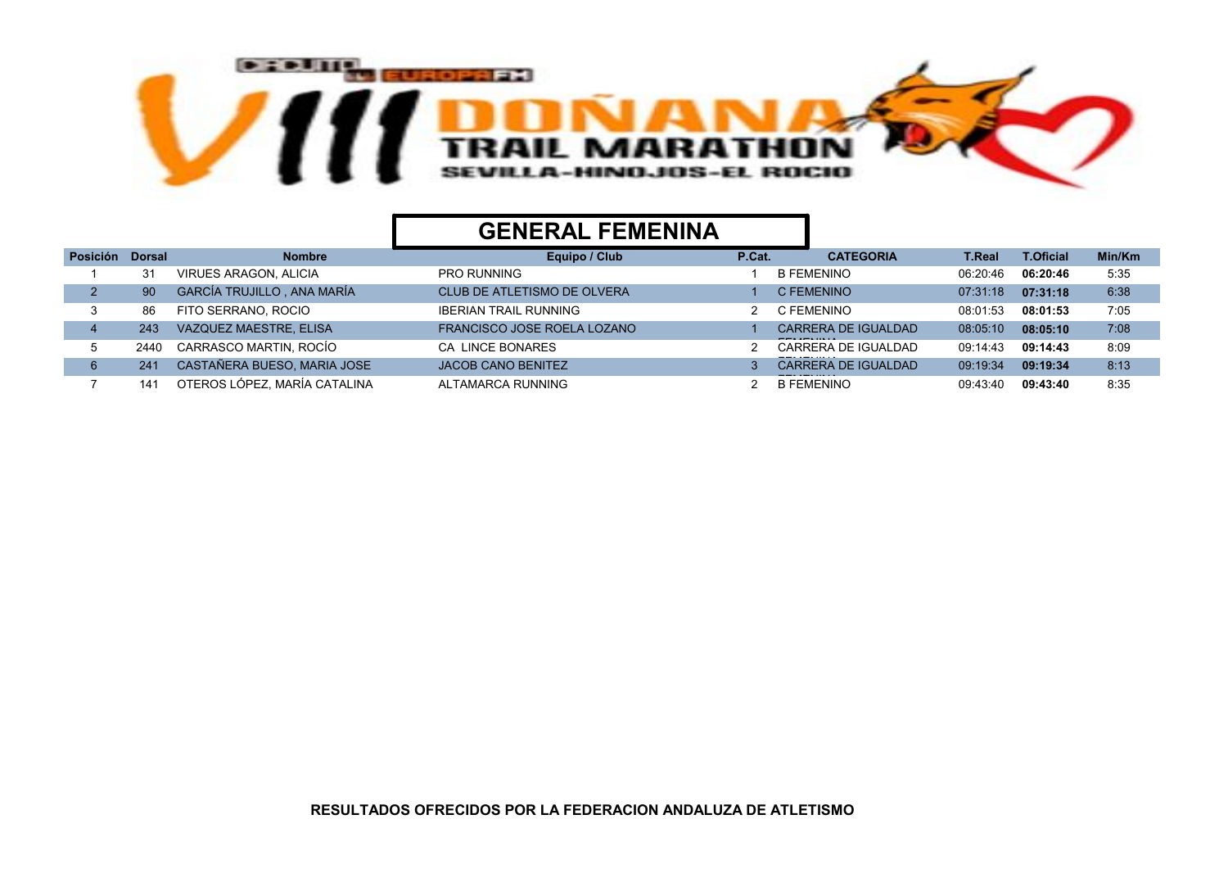

## GENERAL FEMENINA

| <b>Posición</b> | <b>Dorsal</b> | <b>Nombre</b>                | Equipo / Club                | P.Cat. | <b>CATEGORIA</b>                 | T.Real   | <b>T.Oficial</b> | Min/Km |
|-----------------|---------------|------------------------------|------------------------------|--------|----------------------------------|----------|------------------|--------|
|                 | 31            | <b>VIRUES ARAGON, ALICIA</b> | <b>PRO RUNNING</b>           |        | <b>B FEMENINO</b>                | 06:20:46 | 06:20:46         | 5:35   |
|                 | 90            | GARCÍA TRUJILLO, ANA MARÍA   | CLUB DE ATLETISMO DE OLVERA  |        | C FEMENINO                       | 07:31:18 | 07:31:18         | 6:38   |
|                 | 86            | FITO SERRANO, ROCIO          | <b>IBERIAN TRAIL RUNNING</b> |        | C FEMENINO                       | 08:01:53 | 08:01:53         | 7:05   |
|                 | 243           | VAZQUEZ MAESTRE, ELISA       | FRANCISCO JOSE ROELA LOZANO  |        | CARRERA DE IGUALDAD              | 08:05:10 | 08:05:10         | 7:08   |
|                 | 2440          | CARRASCO MARTIN, ROCÍO       | <b>CA LINCE BONARES</b>      |        | CARRERA DE IGUALDAD<br>--------- | 09:14:43 | 09:14:43         | 8:09   |
|                 | 241           | CASTAÑERA BUESO, MARIA JOSE  | <b>JACOB CANO BENITEZ</b>    |        | <b>CARRERA DE IGUALDAD</b>       | 09:19:34 | 09:19:34         | 8:13   |
|                 | 141           | OTEROS LÓPEZ, MARÍA CATALINA | ALTAMARCA RUNNING            |        | <b>B FEMENINO</b>                | 09:43:40 | 09:43:40         | 8:35   |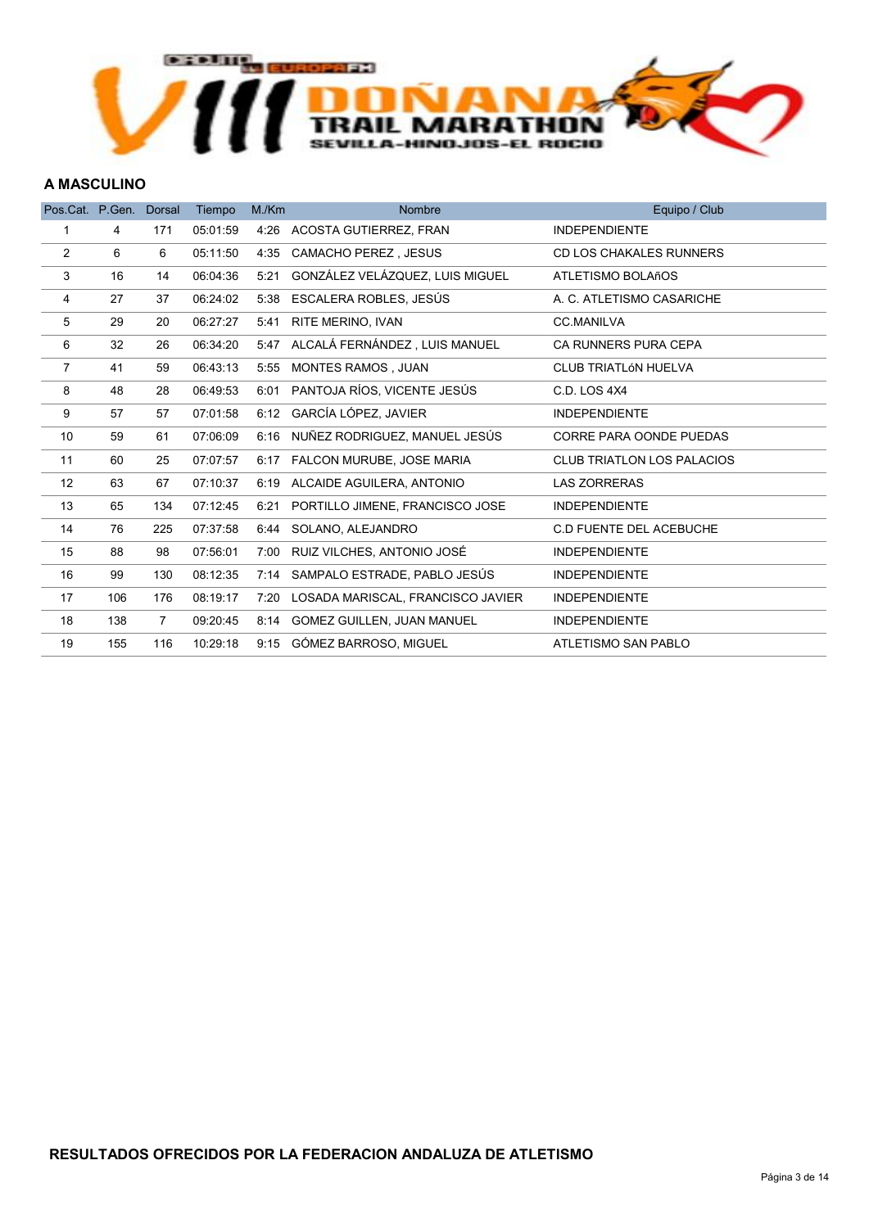

#### A MASCULINO

| Pos.Cat. P.Gen. |     | <b>Dorsal</b>  | Tiempo   | M/Km | <b>Nombre</b>                          | Equipo / Club                     |
|-----------------|-----|----------------|----------|------|----------------------------------------|-----------------------------------|
| 1               | 4   | 171            | 05:01:59 |      | 4:26 ACOSTA GUTIERREZ, FRAN            | <b>INDEPENDIENTE</b>              |
| $\overline{2}$  | 6   | 6              | 05:11:50 | 4:35 | <b>CAMACHO PEREZ, JESUS</b>            | <b>CD LOS CHAKALES RUNNERS</b>    |
| 3               | 16  | 14             | 06:04:36 | 5:21 | GONZÁLEZ VELÁZQUEZ, LUIS MIGUEL        | ATLETISMO BOLAñOS                 |
| 4               | 27  | 37             | 06:24:02 | 5:38 | ESCALERA ROBLES, JESÚS                 | A. C. ATLETISMO CASARICHE         |
| 5               | 29  | 20             | 06:27:27 | 5:41 | RITE MERINO, IVAN                      | <b>CC.MANILVA</b>                 |
| 6               | 32  | 26             | 06:34:20 | 5:47 | ALCALÁ FERNÁNDEZ, LUIS MANUEL          | CA RUNNERS PURA CEPA              |
| $\overline{7}$  | 41  | 59             | 06:43:13 | 5:55 | <b>MONTES RAMOS, JUAN</b>              | <b>CLUB TRIATLÓN HUELVA</b>       |
| 8               | 48  | 28             | 06:49:53 | 6:01 | PANTOJA RÍOS, VICENTE JESÚS            | C.D. LOS 4X4                      |
| 9               | 57  | 57             | 07:01:58 | 6:12 | GARCÍA LÓPEZ, JAVIER                   | <b>INDEPENDIENTE</b>              |
| 10              | 59  | 61             | 07:06:09 | 6:16 | NUÑEZ RODRIGUEZ, MANUEL JESÚS          | <b>CORRE PARA OONDE PUEDAS</b>    |
| 11              | 60  | 25             | 07:07:57 | 6:17 | FALCON MURUBE, JOSE MARIA              | <b>CLUB TRIATLON LOS PALACIOS</b> |
| 12              | 63  | 67             | 07:10:37 | 6:19 | ALCAIDE AGUILERA, ANTONIO              | <b>LAS ZORRERAS</b>               |
| 13              | 65  | 134            | 07:12:45 | 6:21 | PORTILLO JIMENE, FRANCISCO JOSE        | <b>INDEPENDIENTE</b>              |
| 14              | 76  | 225            | 07:37:58 | 6:44 | SOLANO, ALEJANDRO                      | C.D FUENTE DEL ACEBUCHE           |
| 15              | 88  | 98             | 07:56:01 | 7:00 | RUIZ VILCHES, ANTONIO JOSÉ             | <b>INDEPENDIENTE</b>              |
| 16              | 99  | 130            | 08:12:35 |      | 7:14 SAMPALO ESTRADE, PABLO JESÚS      | <b>INDEPENDIENTE</b>              |
| 17              | 106 | 176            | 08:19:17 |      | 7:20 LOSADA MARISCAL, FRANCISCO JAVIER | <b>INDEPENDIENTE</b>              |
| 18              | 138 | $\overline{7}$ | 09:20:45 | 8:14 | <b>GOMEZ GUILLEN, JUAN MANUEL</b>      | <b>INDEPENDIENTE</b>              |
| 19              | 155 | 116            | 10:29:18 |      | 9:15 GÓMEZ BARROSO, MIGUEL             | ATLETISMO SAN PABLO               |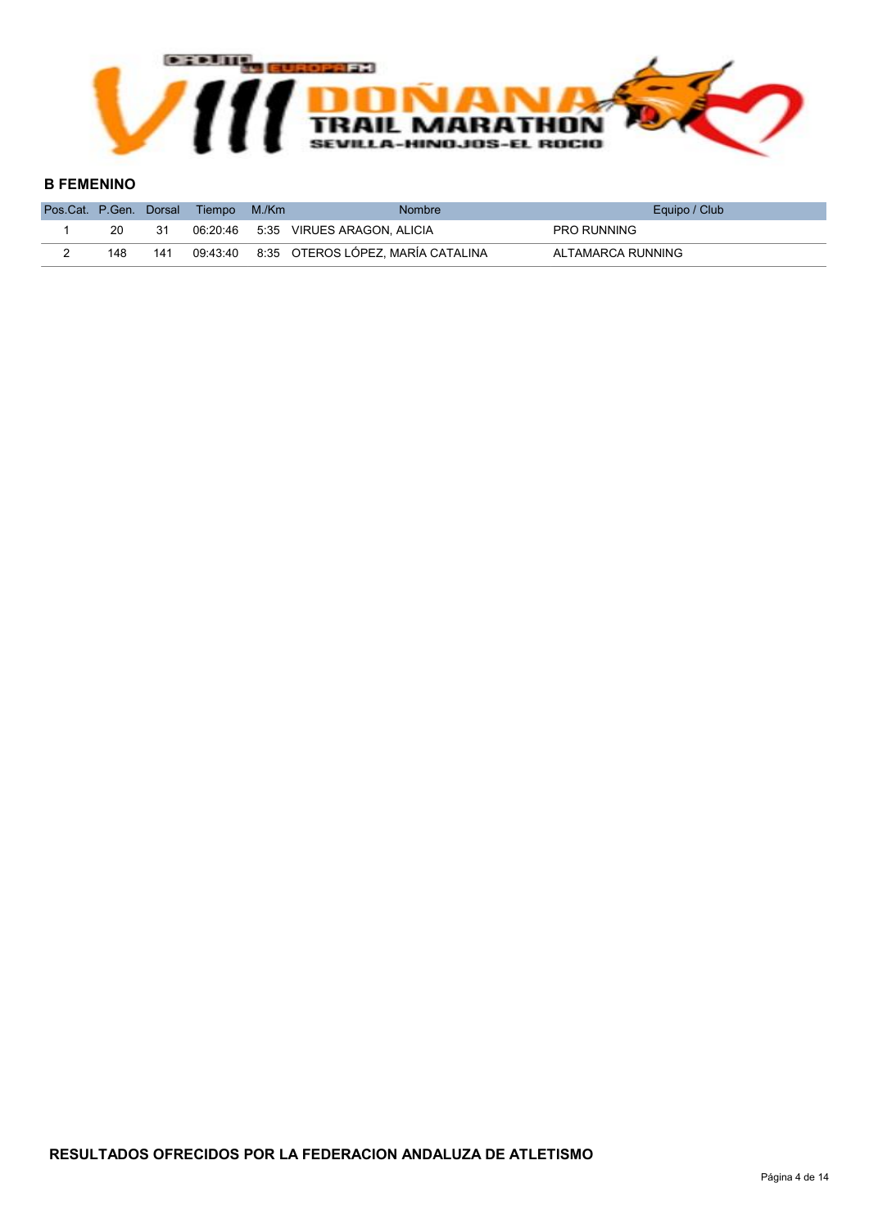

#### B FEMENINO

| Pos.Cat. P.Gen. Dorsal |     |     | Tiempo   | M./Km | <b>Nombre</b>                       | Equipo / Club      |
|------------------------|-----|-----|----------|-------|-------------------------------------|--------------------|
|                        | 20  |     |          |       | 06:20:46 5:35 VIRUES ARAGON, ALICIA | <b>PRO RUNNING</b> |
|                        | 148 | 141 | 09:43:40 |       | 8:35 OTEROS LÓPEZ, MARÍA CATALINA   | ALTAMARCA RUNNING  |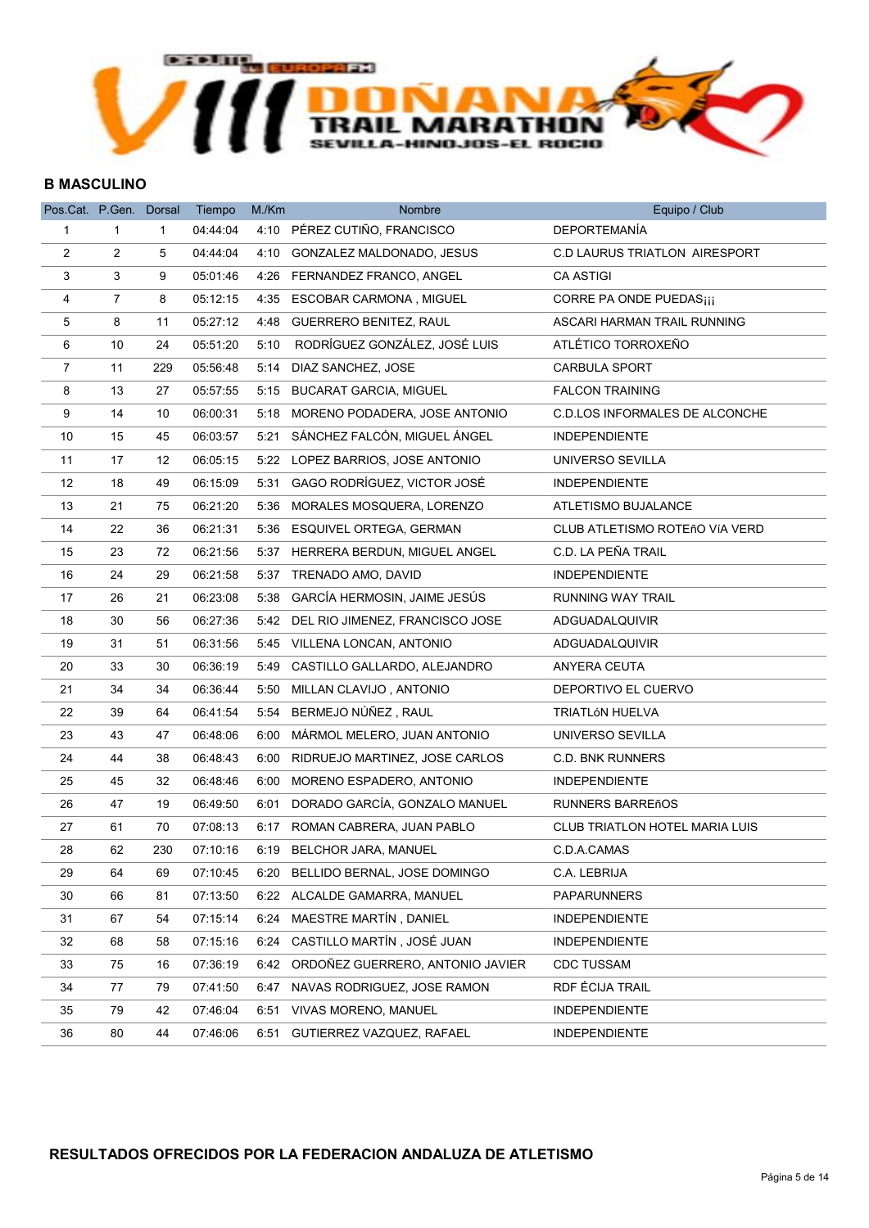

#### B MASCULINO

| Pos.Cat. P.Gen. Dorsal |                |              | Tiempo   | M/Km | Nombre                               | Equipo / Club                         |
|------------------------|----------------|--------------|----------|------|--------------------------------------|---------------------------------------|
| $\mathbf{1}$           | 1              | $\mathbf{1}$ | 04:44:04 |      | 4:10 PÉREZ CUTIÑO, FRANCISCO         | <b>DEPORTEMANÍA</b>                   |
| 2                      | 2              | 5            | 04:44:04 |      | 4:10 GONZALEZ MALDONADO, JESUS       | <b>C.D LAURUS TRIATLON AIRESPORT</b>  |
| 3                      | 3              | 9            | 05:01:46 | 4:26 | FERNANDEZ FRANCO, ANGEL              | <b>CA ASTIGI</b>                      |
| 4                      | $\overline{7}$ | 8            | 05:12:15 |      | 4:35 ESCOBAR CARMONA, MIGUEL         | CORRE PA ONDE PUEDAS <sub>iii</sub>   |
| 5                      | 8              | 11           | 05:27:12 |      | 4:48 GUERRERO BENITEZ, RAUL          | ASCARI HARMAN TRAIL RUNNING           |
| 6                      | 10             | 24           | 05:51:20 | 5:10 | RODRÍGUEZ GONZÁLEZ, JOSÉ LUIS        | ATLÉTICO TORROXEÑO                    |
| $\overline{7}$         | 11             | 229          | 05:56:48 |      | 5:14 DIAZ SANCHEZ, JOSE              | <b>CARBULA SPORT</b>                  |
| 8                      | 13             | 27           | 05:57:55 |      | 5:15 BUCARAT GARCIA, MIGUEL          | <b>FALCON TRAINING</b>                |
| 9                      | 14             | 10           | 06:00:31 |      | 5:18 MORENO PODADERA, JOSE ANTONIO   | <b>C.D.LOS INFORMALES DE ALCONCHE</b> |
| 10                     | 15             | 45           | 06:03:57 | 5:21 | SÁNCHEZ FALCÓN, MIGUEL ÁNGEL         | <b>INDEPENDIENTE</b>                  |
| 11                     | 17             | 12           | 06:05:15 | 5:22 | LOPEZ BARRIOS, JOSE ANTONIO          | UNIVERSO SEVILLA                      |
| 12                     | 18             | 49           | 06:15:09 |      | 5:31 GAGO RODRÍGUEZ, VICTOR JOSÉ     | <b>INDEPENDIENTE</b>                  |
| 13                     | 21             | 75           | 06:21:20 |      | 5:36 MORALES MOSQUERA, LORENZO       | ATLETISMO BUJALANCE                   |
| 14                     | 22             | 36           | 06:21:31 |      | 5:36 ESQUIVEL ORTEGA, GERMAN         | CLUB ATLETISMO ROTEñO VÍA VERD        |
| 15                     | 23             | 72           | 06:21:56 |      | 5:37 HERRERA BERDUN, MIGUEL ANGEL    | C.D. LA PEÑA TRAIL                    |
| 16                     | 24             | 29           | 06:21:58 |      | 5:37 TRENADO AMO, DAVID              | <b>INDEPENDIENTE</b>                  |
| 17                     | 26             | 21           | 06:23:08 | 5:38 | GARCÍA HERMOSIN, JAIME JESÚS         | RUNNING WAY TRAIL                     |
| 18                     | 30             | 56           | 06:27:36 |      | 5:42 DEL RIO JIMENEZ, FRANCISCO JOSE | ADGUADALQUIVIR                        |
| 19                     | 31             | 51           | 06:31:56 |      | 5:45 VILLENA LONCAN, ANTONIO         | ADGUADALQUIVIR                        |
| 20                     | 33             | 30           | 06:36:19 |      | 5:49 CASTILLO GALLARDO, ALEJANDRO    | ANYERA CEUTA                          |
| 21                     | 34             | 34           | 06:36:44 |      | 5:50 MILLAN CLAVIJO, ANTONIO         | DEPORTIVO EL CUERVO                   |
| 22                     | 39             | 64           | 06:41:54 |      | 5:54 BERMEJO NÚÑEZ, RAUL             | <b>TRIATLÓN HUELVA</b>                |
| 23                     | 43             | 47           | 06:48:06 |      | 6:00 MÁRMOL MELERO, JUAN ANTONIO     | UNIVERSO SEVILLA                      |
| 24                     | 44             | 38           | 06:48:43 | 6:00 | RIDRUEJO MARTINEZ, JOSE CARLOS       | <b>C.D. BNK RUNNERS</b>               |
| 25                     | 45             | 32           | 06:48:46 |      | 6:00 MORENO ESPADERO, ANTONIO        | <b>INDEPENDIENTE</b>                  |
| 26                     | 47             | 19           | 06:49:50 |      | 6:01 DORADO GARCÍA, GONZALO MANUEL   | <b>RUNNERS BARREñOS</b>               |
| 27                     | 61             | 70           | 07:08:13 |      | 6:17 ROMAN CABRERA, JUAN PABLO       | <b>CLUB TRIATLON HOTEL MARIA LUIS</b> |
| 28                     | 62             | 230          | 07:10:16 | 6:19 | <b>BELCHOR JARA, MANUEL</b>          | C.D.A.CAMAS                           |
| 29                     | 64             | 69           | 07:10:45 |      | 6:20 BELLIDO BERNAL, JOSE DOMINGO    | C.A. LEBRIJA                          |
| 30                     | 66             | 81           | 07:13:50 |      | 6:22 ALCALDE GAMARRA, MANUEL         | <b>PAPARUNNERS</b>                    |
| 31                     | 67             | 54           | 07:15:14 | 6:24 | MAESTRE MARTÍN, DANIEL               | <b>INDEPENDIENTE</b>                  |
| 32                     | 68             | 58           | 07:15:16 | 6:24 | CASTILLO MARTÍN, JOSÉ JUAN           | <b>INDEPENDIENTE</b>                  |
| 33                     | 75             | 16           | 07:36:19 | 6:42 | ORDOÑEZ GUERRERO, ANTONIO JAVIER     | <b>CDC TUSSAM</b>                     |
| 34                     | 77             | 79           | 07:41:50 | 6:47 | NAVAS RODRIGUEZ, JOSE RAMON          | RDF ÉCIJA TRAIL                       |
| 35                     | 79             | 42           | 07:46:04 | 6:51 | <b>VIVAS MORENO, MANUEL</b>          | <b>INDEPENDIENTE</b>                  |
| 36                     | 80             | 44           | 07:46:06 | 6:51 | GUTIERREZ VAZQUEZ, RAFAEL            | <b>INDEPENDIENTE</b>                  |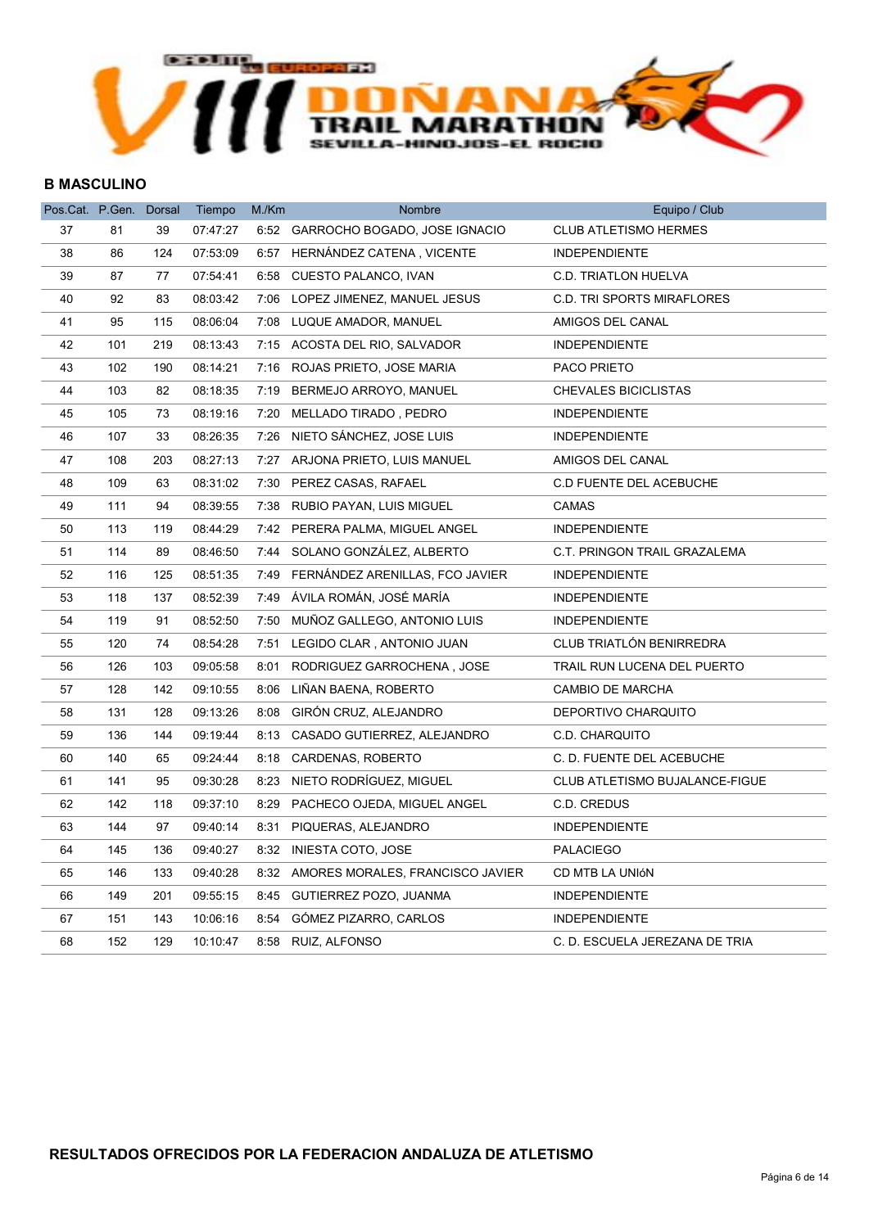

#### B MASCULINO

| Pos.Cat. P.Gen. Dorsal |     |     | Tiempo   | M./Km | Nombre                                | Equipo / Club                     |
|------------------------|-----|-----|----------|-------|---------------------------------------|-----------------------------------|
| 37                     | 81  | 39  | 07:47:27 |       | 6:52 GARROCHO BOGADO, JOSE IGNACIO    | <b>CLUB ATLETISMO HERMES</b>      |
| 38                     | 86  | 124 | 07:53:09 |       | 6:57 HERNÁNDEZ CATENA, VICENTE        | <b>INDEPENDIENTE</b>              |
| 39                     | 87  | 77  | 07:54:41 | 6:58  | CUESTO PALANCO, IVAN                  | <b>C.D. TRIATLON HUELVA</b>       |
| 40                     | 92  | 83  | 08:03:42 |       | 7:06 LOPEZ JIMENEZ, MANUEL JESUS      | <b>C.D. TRI SPORTS MIRAFLORES</b> |
| 41                     | 95  | 115 | 08:06:04 |       | 7:08 LUQUE AMADOR, MANUEL             | AMIGOS DEL CANAL                  |
| 42                     | 101 | 219 | 08:13:43 |       | 7:15 ACOSTA DEL RIO, SALVADOR         | <b>INDEPENDIENTE</b>              |
| 43                     | 102 | 190 | 08:14:21 |       | 7:16 ROJAS PRIETO, JOSE MARIA         | PACO PRIETO                       |
| 44                     | 103 | 82  | 08:18:35 |       | 7:19 BERMEJO ARROYO, MANUEL           | <b>CHEVALES BICICLISTAS</b>       |
| 45                     | 105 | 73  | 08:19:16 |       | 7:20 MELLADO TIRADO, PEDRO            | <b>INDEPENDIENTE</b>              |
| 46                     | 107 | 33  | 08:26:35 |       | 7:26 NIETO SÁNCHEZ, JOSE LUIS         | <b>INDEPENDIENTE</b>              |
| 47                     | 108 | 203 | 08:27:13 |       | 7:27 ARJONA PRIETO, LUIS MANUEL       | AMIGOS DEL CANAL                  |
| 48                     | 109 | 63  | 08:31:02 |       | 7:30 PEREZ CASAS, RAFAEL              | C.D FUENTE DEL ACEBUCHE           |
| 49                     | 111 | 94  | 08:39:55 |       | 7:38 RUBIO PAYAN, LUIS MIGUEL         | <b>CAMAS</b>                      |
| 50                     | 113 | 119 | 08:44:29 |       | 7:42 PERERA PALMA, MIGUEL ANGEL       | <b>INDEPENDIENTE</b>              |
| 51                     | 114 | 89  | 08:46:50 |       | 7:44 SOLANO GONZÁLEZ, ALBERTO         | C.T. PRINGON TRAIL GRAZALEMA      |
| 52                     | 116 | 125 | 08:51:35 |       | 7:49 FERNÁNDEZ ARENILLAS, FCO JAVIER  | <b>INDEPENDIENTE</b>              |
| 53                     | 118 | 137 | 08:52:39 |       | 7:49 ÁVILA ROMÁN, JOSÉ MARÍA          | <b>INDEPENDIENTE</b>              |
| 54                     | 119 | 91  | 08:52:50 |       | 7:50 MUÑOZ GALLEGO, ANTONIO LUIS      | <b>INDEPENDIENTE</b>              |
| 55                     | 120 | 74  | 08:54:28 | 7:51  | LEGIDO CLAR, ANTONIO JUAN             | CLUB TRIATLÓN BENIRREDRA          |
| 56                     | 126 | 103 | 09:05:58 | 8:01  | RODRIGUEZ GARROCHENA, JOSE            | TRAIL RUN LUCENA DEL PUERTO       |
| 57                     | 128 | 142 | 09:10:55 | 8:06  | LIÑAN BAENA, ROBERTO                  | CAMBIO DE MARCHA                  |
| 58                     | 131 | 128 | 09:13:26 |       | 8:08 GIRÓN CRUZ, ALEJANDRO            | DEPORTIVO CHARQUITO               |
| 59                     | 136 | 144 | 09:19:44 |       | 8:13 CASADO GUTIERREZ, ALEJANDRO      | C.D. CHARQUITO                    |
| 60                     | 140 | 65  | 09:24:44 |       | 8:18 CARDENAS, ROBERTO                | C. D. FUENTE DEL ACEBUCHE         |
| 61                     | 141 | 95  | 09:30:28 | 8:23  | NIETO RODRÍGUEZ, MIGUEL               | CLUB ATLETISMO BUJALANCE-FIGUE    |
| 62                     | 142 | 118 | 09:37:10 |       | 8:29 PACHECO OJEDA, MIGUEL ANGEL      | C.D. CREDUS                       |
| 63                     | 144 | 97  | 09:40:14 |       | 8:31 PIQUERAS, ALEJANDRO              | <b>INDEPENDIENTE</b>              |
| 64                     | 145 | 136 | 09:40:27 |       | 8:32 INIESTA COTO, JOSE               | <b>PALACIEGO</b>                  |
| 65                     | 146 | 133 | 09:40:28 |       | 8:32 AMORES MORALES, FRANCISCO JAVIER | CD MTB LA UNIÓN                   |
| 66                     | 149 | 201 | 09:55:15 |       | 8:45 GUTIERREZ POZO, JUANMA           | <b>INDEPENDIENTE</b>              |
| 67                     | 151 | 143 | 10:06:16 |       | 8:54 GÓMEZ PIZARRO, CARLOS            | <b>INDEPENDIENTE</b>              |
| 68                     | 152 | 129 | 10:10:47 |       | 8:58 RUIZ, ALFONSO                    | C. D. ESCUELA JEREZANA DE TRIA    |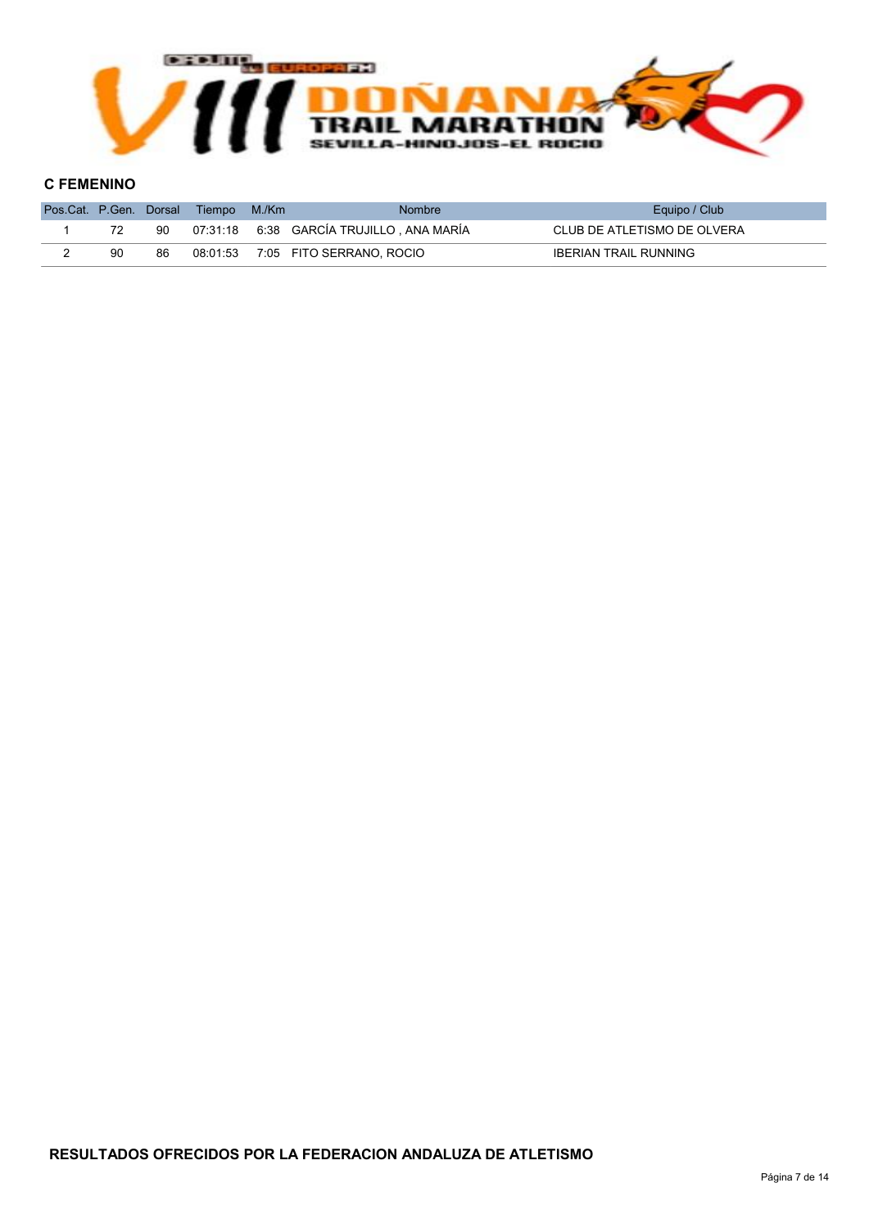

#### C FEMENINO

|    |    | Pos.Cat. P.Gen. Dorsal Tiempo | M/Km | <b>Nombre</b>                                   | Equipo / Club                |
|----|----|-------------------------------|------|-------------------------------------------------|------------------------------|
|    | 90 |                               |      | 07:31:18    6:38    GARCÍA TRUJILLO , ANA MARÍA | CLUB DE ATLETISMO DE OLVERA  |
| 90 | 86 |                               |      | 08:01:53 7:05 FITO SERRANO, ROCIO               | <b>IBERIAN TRAIL RUNNING</b> |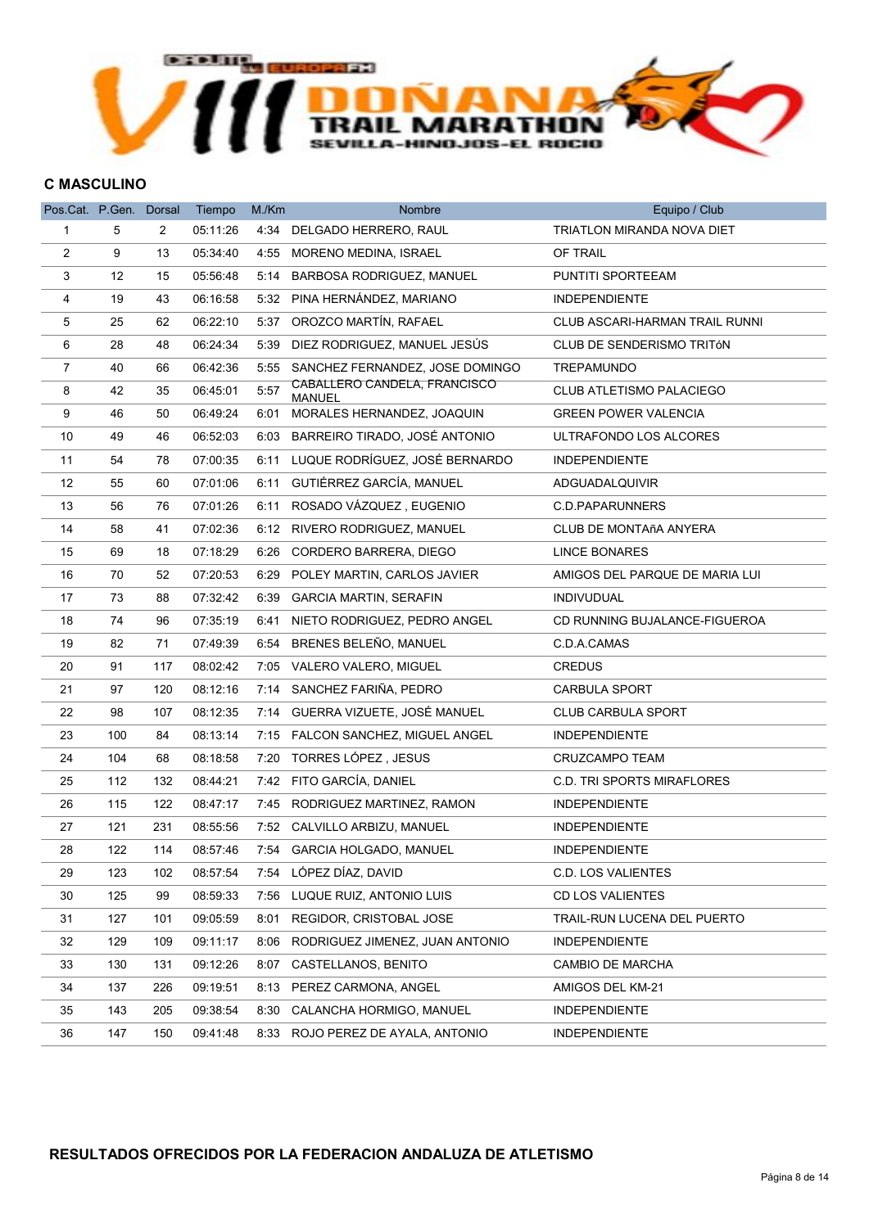

#### C MASCULINO

| Pos.Cat. P.Gen. Dorsal |     |     | Tiempo   | M./Km | <b>Nombre</b>                                 | Equipo / Club                     |
|------------------------|-----|-----|----------|-------|-----------------------------------------------|-----------------------------------|
| 1                      | 5   | 2   | 05:11:26 |       | 4:34 DELGADO HERRERO, RAUL                    | TRIATLON MIRANDA NOVA DIET        |
| $\overline{c}$         | 9   | 13  | 05:34:40 |       | 4:55 MORENO MEDINA, ISRAEL                    | OF TRAIL                          |
| 3                      | 12  | 15  | 05:56:48 | 5:14  | <b>BARBOSA RODRIGUEZ, MANUEL</b>              | PUNTITI SPORTEEAM                 |
| 4                      | 19  | 43  | 06:16:58 |       | 5:32 PINA HERNÁNDEZ, MARIANO                  | <b>INDEPENDIENTE</b>              |
| 5                      | 25  | 62  | 06:22:10 |       | 5:37 OROZCO MARTÍN, RAFAEL                    | CLUB ASCARI-HARMAN TRAIL RUNNI    |
| 6                      | 28  | 48  | 06:24:34 |       | 5:39 DIEZ RODRIGUEZ, MANUEL JESÚS             | CLUB DE SENDERISMO TRITÓN         |
| $\overline{7}$         | 40  | 66  | 06:42:36 |       | 5:55 SANCHEZ FERNANDEZ, JOSE DOMINGO          | <b>TREPAMUNDO</b>                 |
| 8                      | 42  | 35  | 06:45:01 | 5:57  | CABALLERO CANDELA, FRANCISCO<br><b>MANUEL</b> | <b>CLUB ATLETISMO PALACIEGO</b>   |
| 9                      | 46  | 50  | 06:49:24 |       | 6:01 MORALES HERNANDEZ, JOAQUIN               | <b>GREEN POWER VALENCIA</b>       |
| 10                     | 49  | 46  | 06:52:03 |       | 6:03 BARREIRO TIRADO, JOSÉ ANTONIO            | ULTRAFONDO LOS ALCORES            |
| 11                     | 54  | 78  | 07:00:35 | 6:11  | LUQUE RODRÍGUEZ, JOSÉ BERNARDO                | <b>INDEPENDIENTE</b>              |
| 12                     | 55  | 60  | 07:01:06 | 6:11  | GUTIÉRREZ GARCÍA, MANUEL                      | ADGUADALQUIVIR                    |
| 13                     | 56  | 76  | 07:01:26 | 6:11  | ROSADO VÁZQUEZ, EUGENIO                       | C.D.PAPARUNNERS                   |
| 14                     | 58  | 41  | 07:02:36 |       | 6:12 RIVERO RODRIGUEZ, MANUEL                 | <b>CLUB DE MONTAñA ANYERA</b>     |
| 15                     | 69  | 18  | 07:18:29 | 6:26  | CORDERO BARRERA, DIEGO                        | <b>LINCE BONARES</b>              |
| 16                     | 70  | 52  | 07:20:53 | 6:29  | POLEY MARTIN, CARLOS JAVIER                   | AMIGOS DEL PARQUE DE MARIA LUI    |
| 17                     | 73  | 88  | 07:32:42 |       | 6:39 GARCIA MARTIN, SERAFIN                   | <b>INDIVUDUAL</b>                 |
| $18\,$                 | 74  | 96  | 07:35:19 | 6:41  | NIETO RODRIGUEZ, PEDRO ANGEL                  | CD RUNNING BUJALANCE-FIGUEROA     |
| 19                     | 82  | 71  | 07:49:39 |       | 6:54 BRENES BELEÑO, MANUEL                    | C.D.A.CAMAS                       |
| 20                     | 91  | 117 | 08:02:42 |       | 7:05 VALERO VALERO, MIGUEL                    | <b>CREDUS</b>                     |
| 21                     | 97  | 120 | 08:12:16 |       | 7:14 SANCHEZ FARIÑA, PEDRO                    | CARBULA SPORT                     |
| 22                     | 98  | 107 | 08:12:35 |       | 7:14 GUERRA VIZUETE, JOSÉ MANUEL              | <b>CLUB CARBULA SPORT</b>         |
| 23                     | 100 | 84  | 08:13:14 |       | 7:15 FALCON SANCHEZ, MIGUEL ANGEL             | <b>INDEPENDIENTE</b>              |
| 24                     | 104 | 68  | 08:18:58 | 7:20  | TORRES LÓPEZ , JESUS                          | CRUZCAMPO TEAM                    |
| 25                     | 112 | 132 | 08:44:21 |       | 7:42 FITO GARCÍA, DANIEL                      | <b>C.D. TRI SPORTS MIRAFLORES</b> |
| 26                     | 115 | 122 | 08:47:17 |       | 7:45 RODRIGUEZ MARTINEZ, RAMON                | <b>INDEPENDIENTE</b>              |
| 27                     | 121 | 231 | 08:55:56 |       | 7:52 CALVILLO ARBIZU, MANUEL                  | <b>INDEPENDIENTE</b>              |
| 28                     | 122 | 114 | 08:57:46 |       | 7:54 GARCIA HOLGADO, MANUEL                   | <b>INDEPENDIENTE</b>              |
| 29                     | 123 | 102 | 08:57:54 |       | 7:54 LÓPEZ DÍAZ, DAVID                        | <b>C.D. LOS VALIENTES</b>         |
| 30                     | 125 | 99  | 08:59:33 | 7:56  | LUQUE RUIZ, ANTONIO LUIS                      | <b>CD LOS VALIENTES</b>           |
| 31                     | 127 | 101 | 09:05:59 | 8:01  | REGIDOR, CRISTOBAL JOSE                       | TRAIL-RUN LUCENA DEL PUERTO       |
| 32                     | 129 | 109 | 09:11:17 | 8:06  | RODRIGUEZ JIMENEZ, JUAN ANTONIO               | <b>INDEPENDIENTE</b>              |
| 33                     | 130 | 131 | 09:12:26 | 8:07  | CASTELLANOS, BENITO                           | CAMBIO DE MARCHA                  |
| 34                     | 137 | 226 | 09:19:51 | 8:13  | PEREZ CARMONA, ANGEL                          | AMIGOS DEL KM-21                  |
| 35                     | 143 | 205 | 09:38:54 | 8:30  | CALANCHA HORMIGO, MANUEL                      | <b>INDEPENDIENTE</b>              |
| 36                     | 147 | 150 | 09:41:48 |       | 8:33 ROJO PEREZ DE AYALA, ANTONIO             | <b>INDEPENDIENTE</b>              |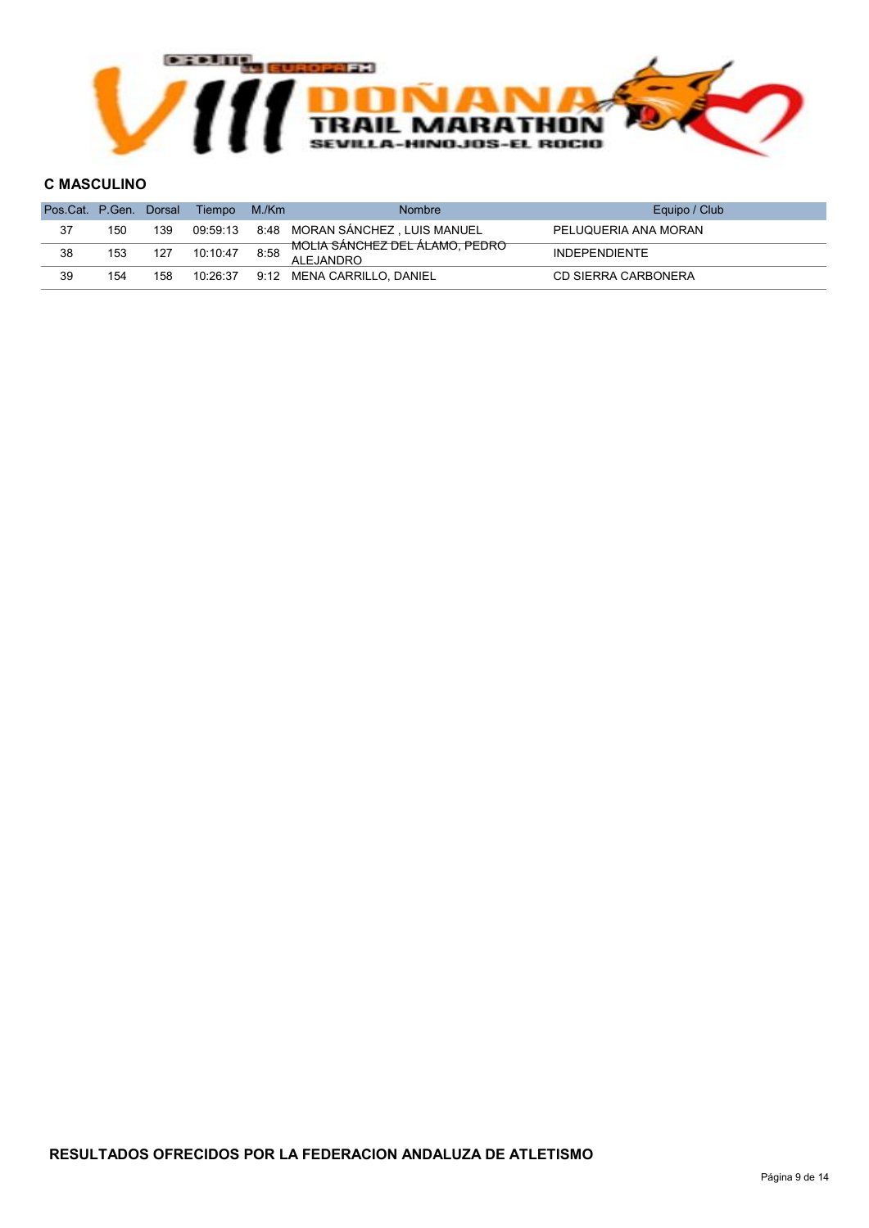

#### C MASCULINO

| Pos.Cat. P.Gen. Dorsal |     |     | Tiempo   | M./Km | <b>Nombre</b>                                | Equipo / Club        |
|------------------------|-----|-----|----------|-------|----------------------------------------------|----------------------|
| 37                     | 150 | 139 | 09:59:13 |       | 8:48 MORAN SÁNCHEZ , LUIS MANUEL             | PELUQUERIA ANA MORAN |
| 38                     | 153 | 127 | 10:10:47 | 8:58  | MOLIA SÁNCHEZ DEL ÁLAMO, PEDRO<br>AI FJANDRO | <b>INDEPENDIENTE</b> |
| 39                     | 154 | 158 | 10:26:37 |       | 9:12 MENA CARRILLO, DANIEL                   | CD SIERRA CARBONERA  |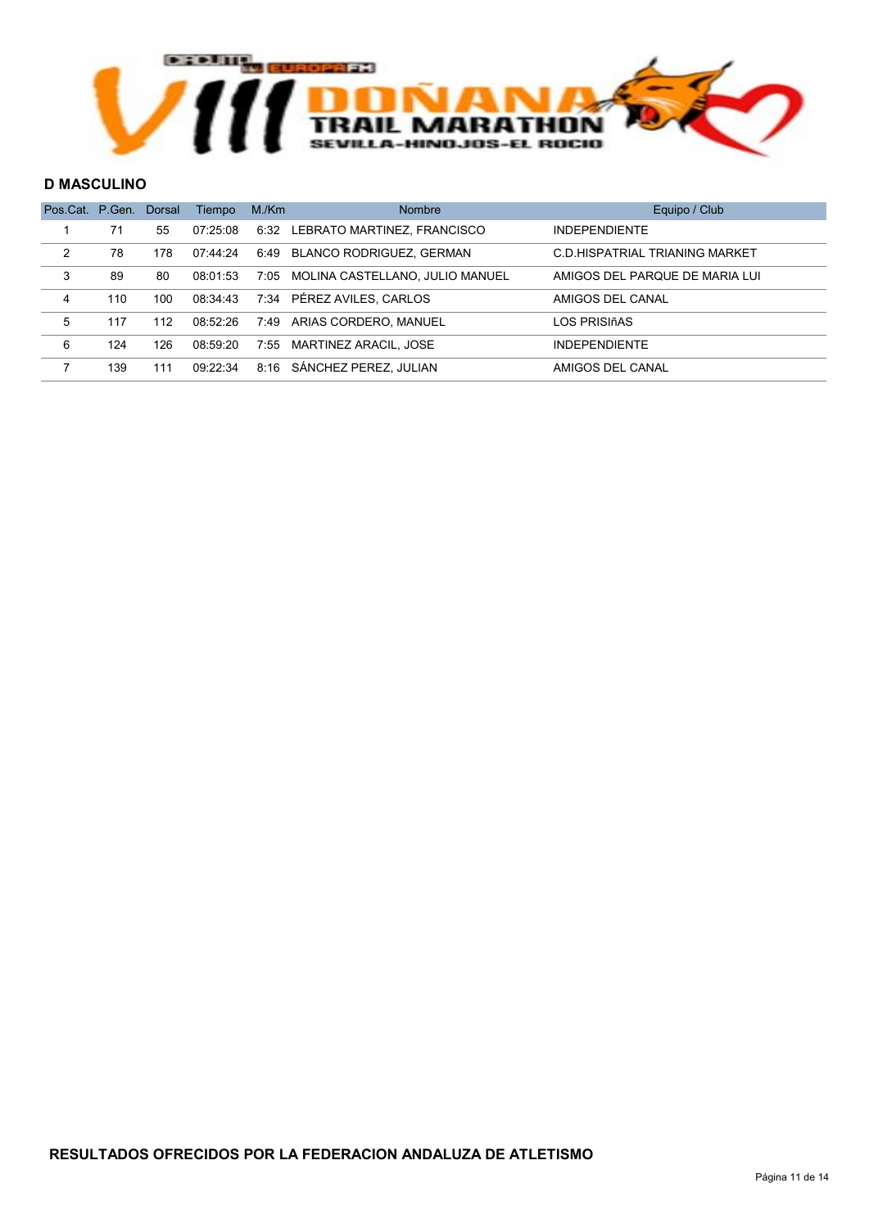

#### D MASCULINO

| Pos.Cat. P.Gen. |     | Dorsal | Tiempo   | M/Km | <b>Nombre</b>                    | Equipo / Club                  |
|-----------------|-----|--------|----------|------|----------------------------------|--------------------------------|
|                 | 71  | 55     | 07:25:08 |      | 6:32 LEBRATO MARTINEZ, FRANCISCO | <b>INDEPENDIENTE</b>           |
| $\mathcal{P}$   | 78  | 178    | 07:44:24 |      | 6:49 BLANCO RODRIGUEZ, GERMAN    | C.D.HISPATRIAL TRIANING MARKET |
| 3               | 89  | 80     | 08:01:53 | 7:05 | MOLINA CASTELLANO, JULIO MANUEL  | AMIGOS DEL PARQUE DE MARIA LUI |
| 4               | 110 | 100    | 08:34:43 |      | 7:34 PÉREZ AVILES, CARLOS        | AMIGOS DEL CANAL               |
| 5               | 117 | 112    | 08:52:26 |      | 7:49 ARIAS CORDERO, MANUEL       | LOS PRISIñAS                   |
| 6               | 124 | 126    | 08:59:20 |      | 7:55 MARTINEZ ARACIL, JOSE       | <b>INDEPENDIENTE</b>           |
|                 | 139 | 111    | 09:22:34 | 8:16 | SÁNCHEZ PEREZ. JULIAN            | AMIGOS DEL CANAL               |
|                 |     |        |          |      |                                  |                                |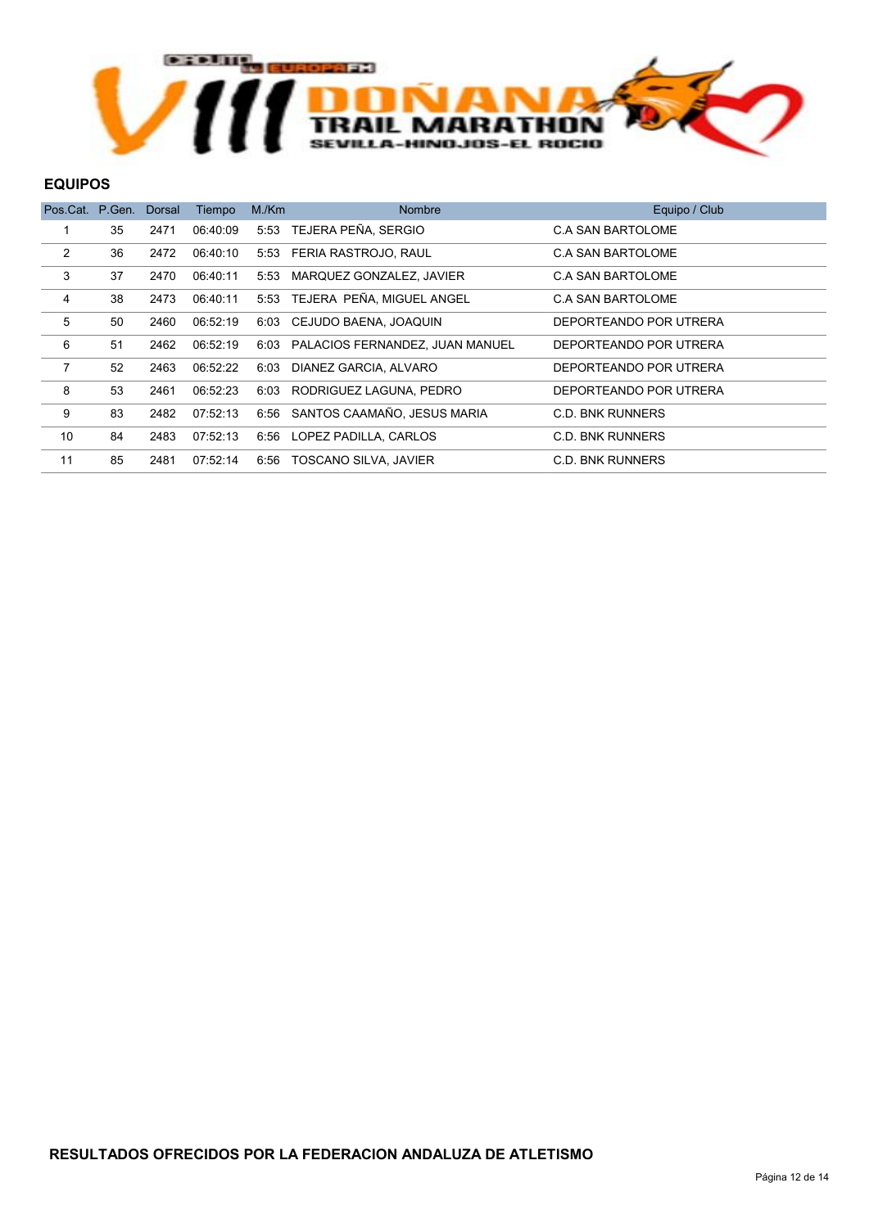

#### EQUIPOS

| Pos.Cat. P.Gen. |    | Dorsal | Tiempo   | M/Km | <b>Nombre</b>                    | Equipo / Club          |
|-----------------|----|--------|----------|------|----------------------------------|------------------------|
|                 | 35 | 2471   | 06:40:09 |      | 5:53 TEJERA PEÑA, SERGIO         | C.A SAN BARTOLOME      |
| $\overline{2}$  | 36 | 2472   | 06:40:10 | 5:53 | FERIA RASTROJO, RAUL             | C.A SAN BARTOLOME      |
| 3               | 37 | 2470   | 06:40:11 | 5:53 | MARQUEZ GONZALEZ, JAVIER         | C.A SAN BARTOLOME      |
| 4               | 38 | 2473   | 06:40:11 |      | 5:53 TEJERA PEÑA, MIGUEL ANGEL   | C.A SAN BARTOLOME      |
| 5               | 50 | 2460   | 06:52:19 | 6:03 | CEJUDO BAENA, JOAQUIN            | DEPORTEANDO POR UTRERA |
| 6               | 51 | 2462   | 06:52:19 | 6:03 | PALACIOS FERNANDEZ, JUAN MANUEL  | DEPORTEANDO POR UTRERA |
| 7               | 52 | 2463   | 06:52:22 | 6:03 | DIANEZ GARCIA, ALVARO            | DEPORTEANDO POR UTRERA |
| 8               | 53 | 2461   | 06:52:23 | 6:03 | RODRIGUEZ LAGUNA, PEDRO          | DEPORTEANDO POR UTRERA |
| 9               | 83 | 2482   | 07:52:13 |      | 6:56 SANTOS CAAMAÑO, JESUS MARIA | C.D. BNK RUNNERS       |
| 10              | 84 | 2483   | 07:52:13 | 6:56 | LOPEZ PADILLA, CARLOS            | C.D. BNK RUNNERS       |
| 11              | 85 | 2481   | 07:52:14 | 6:56 | TOSCANO SILVA, JAVIER            | C.D. BNK RUNNERS       |